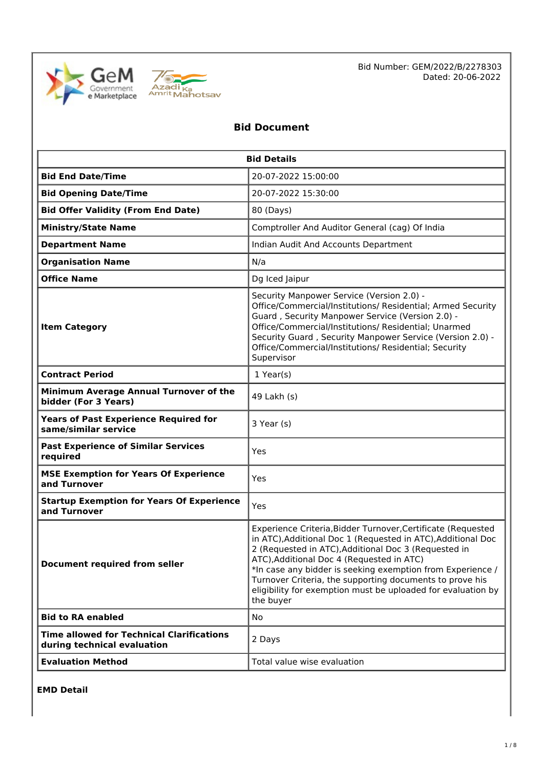



Bid Number: GEM/2022/B/2278303 Dated: 20-06-2022

### **Bid Document**

| <b>Bid Details</b>                                                              |                                                                                                                                                                                                                                                                                                                                                                                                                                          |  |  |
|---------------------------------------------------------------------------------|------------------------------------------------------------------------------------------------------------------------------------------------------------------------------------------------------------------------------------------------------------------------------------------------------------------------------------------------------------------------------------------------------------------------------------------|--|--|
| <b>Bid End Date/Time</b>                                                        | 20-07-2022 15:00:00                                                                                                                                                                                                                                                                                                                                                                                                                      |  |  |
| <b>Bid Opening Date/Time</b>                                                    | 20-07-2022 15:30:00                                                                                                                                                                                                                                                                                                                                                                                                                      |  |  |
| <b>Bid Offer Validity (From End Date)</b>                                       | 80 (Days)                                                                                                                                                                                                                                                                                                                                                                                                                                |  |  |
| <b>Ministry/State Name</b>                                                      | Comptroller And Auditor General (cag) Of India                                                                                                                                                                                                                                                                                                                                                                                           |  |  |
| <b>Department Name</b>                                                          | Indian Audit And Accounts Department                                                                                                                                                                                                                                                                                                                                                                                                     |  |  |
| <b>Organisation Name</b>                                                        | N/a                                                                                                                                                                                                                                                                                                                                                                                                                                      |  |  |
| <b>Office Name</b>                                                              | Dg Iced Jaipur                                                                                                                                                                                                                                                                                                                                                                                                                           |  |  |
| <b>Item Category</b>                                                            | Security Manpower Service (Version 2.0) -<br>Office/Commercial/Institutions/ Residential; Armed Security<br>Guard, Security Manpower Service (Version 2.0) -<br>Office/Commercial/Institutions/ Residential; Unarmed<br>Security Guard, Security Manpower Service (Version 2.0) -<br>Office/Commercial/Institutions/ Residential; Security<br>Supervisor                                                                                 |  |  |
| <b>Contract Period</b>                                                          | $1$ Year(s)                                                                                                                                                                                                                                                                                                                                                                                                                              |  |  |
| Minimum Average Annual Turnover of the<br>bidder (For 3 Years)                  | 49 Lakh (s)                                                                                                                                                                                                                                                                                                                                                                                                                              |  |  |
| <b>Years of Past Experience Required for</b><br>same/similar service            | 3 Year (s)                                                                                                                                                                                                                                                                                                                                                                                                                               |  |  |
| <b>Past Experience of Similar Services</b><br>required                          | Yes                                                                                                                                                                                                                                                                                                                                                                                                                                      |  |  |
| <b>MSE Exemption for Years Of Experience</b><br>and Turnover                    | Yes                                                                                                                                                                                                                                                                                                                                                                                                                                      |  |  |
| <b>Startup Exemption for Years Of Experience</b><br>and Turnover                | Yes                                                                                                                                                                                                                                                                                                                                                                                                                                      |  |  |
| <b>Document required from seller</b>                                            | Experience Criteria, Bidder Turnover, Certificate (Requested<br>in ATC), Additional Doc 1 (Requested in ATC), Additional Doc<br>2 (Requested in ATC), Additional Doc 3 (Requested in<br>ATC), Additional Doc 4 (Requested in ATC)<br>*In case any bidder is seeking exemption from Experience /<br>Turnover Criteria, the supporting documents to prove his<br>eligibility for exemption must be uploaded for evaluation by<br>the buyer |  |  |
| <b>Bid to RA enabled</b>                                                        | <b>No</b>                                                                                                                                                                                                                                                                                                                                                                                                                                |  |  |
| <b>Time allowed for Technical Clarifications</b><br>during technical evaluation | 2 Days                                                                                                                                                                                                                                                                                                                                                                                                                                   |  |  |
| <b>Evaluation Method</b>                                                        | Total value wise evaluation                                                                                                                                                                                                                                                                                                                                                                                                              |  |  |

**EMD Detail**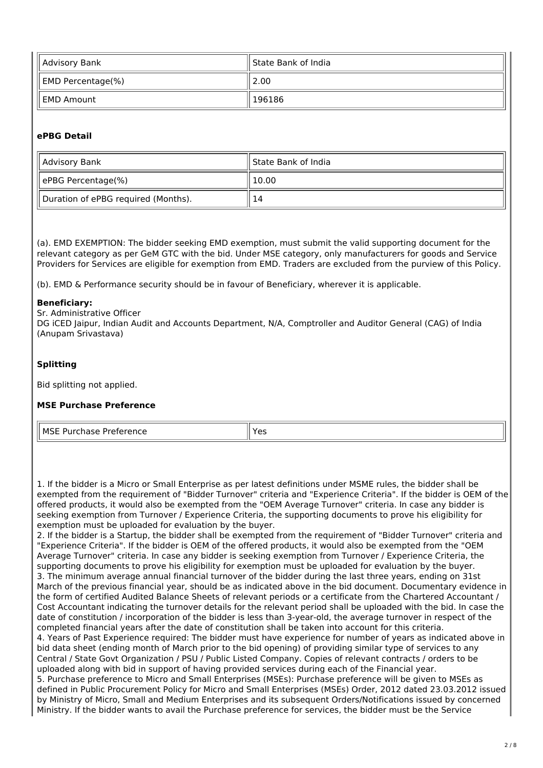| Advisory Bank                 | ll State Bank of India |
|-------------------------------|------------------------|
| $\parallel$ EMD Percentage(%) | 2.00                   |
| EMD Amount                    | 196186                 |

#### **ePBG Detail**

| Advisory Bank                       | ll State Bank of India |
|-------------------------------------|------------------------|
| ePBG Percentage(%)                  | 10.00                  |
| Duration of ePBG required (Months). | 14                     |

(a). EMD EXEMPTION: The bidder seeking EMD exemption, must submit the valid supporting document for the relevant category as per GeM GTC with the bid. Under MSE category, only manufacturers for goods and Service Providers for Services are eligible for exemption from EMD. Traders are excluded from the purview of this Policy.

(b). EMD & Performance security should be in favour of Beneficiary, wherever it is applicable.

#### **Beneficiary:**

Sr. Administrative Officer

DG iCED Jaipur, Indian Audit and Accounts Department, N/A, Comptroller and Auditor General (CAG) of India (Anupam Srivastava)

#### **Splitting**

Bid splitting not applied.

#### **MSE Purchase Preference**

| l MSF P<br>-------<br>.<br>י פוונכ<br>- דכ<br>-<br>. | res |
|------------------------------------------------------|-----|
|------------------------------------------------------|-----|

1. If the bidder is a Micro or Small Enterprise as per latest definitions under MSME rules, the bidder shall be exempted from the requirement of "Bidder Turnover" criteria and "Experience Criteria". If the bidder is OEM of the offered products, it would also be exempted from the "OEM Average Turnover" criteria. In case any bidder is seeking exemption from Turnover / Experience Criteria, the supporting documents to prove his eligibility for exemption must be uploaded for evaluation by the buyer.

2. If the bidder is a Startup, the bidder shall be exempted from the requirement of "Bidder Turnover" criteria and "Experience Criteria". If the bidder is OEM of the offered products, it would also be exempted from the "OEM Average Turnover" criteria. In case any bidder is seeking exemption from Turnover / Experience Criteria, the supporting documents to prove his eligibility for exemption must be uploaded for evaluation by the buyer. 3. The minimum average annual financial turnover of the bidder during the last three years, ending on 31st March of the previous financial year, should be as indicated above in the bid document. Documentary evidence in the form of certified Audited Balance Sheets of relevant periods or a certificate from the Chartered Accountant / Cost Accountant indicating the turnover details for the relevant period shall be uploaded with the bid. In case the date of constitution / incorporation of the bidder is less than 3-year-old, the average turnover in respect of the completed financial years after the date of constitution shall be taken into account for this criteria. 4. Years of Past Experience required: The bidder must have experience for number of years as indicated above in bid data sheet (ending month of March prior to the bid opening) of providing similar type of services to any Central / State Govt Organization / PSU / Public Listed Company. Copies of relevant contracts / orders to be uploaded along with bid in support of having provided services during each of the Financial year. 5. Purchase preference to Micro and Small Enterprises (MSEs): Purchase preference will be given to MSEs as defined in Public Procurement Policy for Micro and Small Enterprises (MSEs) Order, 2012 dated 23.03.2012 issued by Ministry of Micro, Small and Medium Enterprises and its subsequent Orders/Notifications issued by concerned Ministry. If the bidder wants to avail the Purchase preference for services, the bidder must be the Service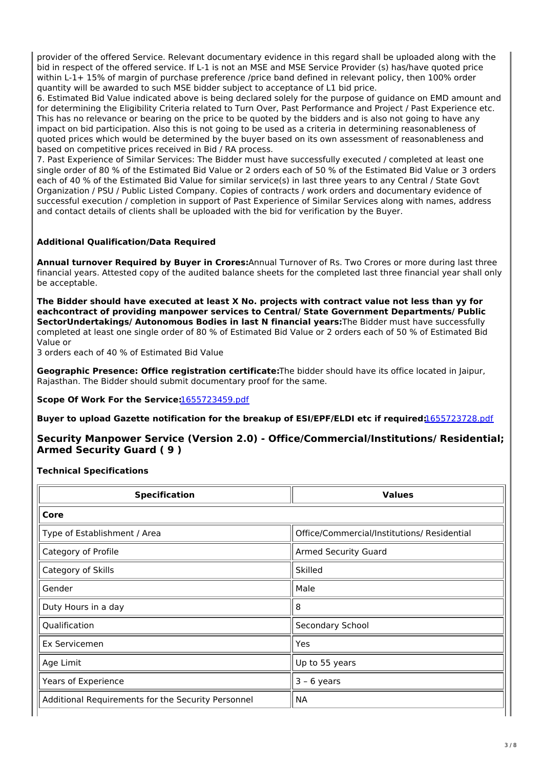provider of the offered Service. Relevant documentary evidence in this regard shall be uploaded along with the bid in respect of the offered service. If L-1 is not an MSE and MSE Service Provider (s) has/have quoted price within L-1+ 15% of margin of purchase preference /price band defined in relevant policy, then 100% order quantity will be awarded to such MSE bidder subject to acceptance of L1 bid price.

6. Estimated Bid Value indicated above is being declared solely for the purpose of guidance on EMD amount and for determining the Eligibility Criteria related to Turn Over, Past Performance and Project / Past Experience etc. This has no relevance or bearing on the price to be quoted by the bidders and is also not going to have any impact on bid participation. Also this is not going to be used as a criteria in determining reasonableness of quoted prices which would be determined by the buyer based on its own assessment of reasonableness and based on competitive prices received in Bid / RA process.

7. Past Experience of Similar Services: The Bidder must have successfully executed / completed at least one single order of 80 % of the Estimated Bid Value or 2 orders each of 50 % of the Estimated Bid Value or 3 orders each of 40 % of the Estimated Bid Value for similar service(s) in last three years to any Central / State Govt Organization / PSU / Public Listed Company. Copies of contracts / work orders and documentary evidence of successful execution / completion in support of Past Experience of Similar Services along with names, address and contact details of clients shall be uploaded with the bid for verification by the Buyer.

### **Additional Qualification/Data Required**

**Annual turnover Required by Buyer in Crores:**Annual Turnover of Rs. Two Crores or more during last three financial years. Attested copy of the audited balance sheets for the completed last three financial year shall only be acceptable.

**The Bidder should have executed at least X No. projects with contract value not less than yy for eachcontract of providing manpower services to Central/ State Government Departments/ Public SectorUndertakings/ Autonomous Bodies in last N financial years:**The Bidder must have successfully completed at least one single order of 80 % of Estimated Bid Value or 2 orders each of 50 % of Estimated Bid Value or

3 orders each of 40 % of Estimated Bid Value

**Geographic Presence: Office registration certificate:**The bidder should have its office located in Jaipur, Rajasthan. The Bidder should submit documentary proof for the same.

**Scope Of Work For the Service:**[1655723459.pdf](https://bidplus.gem.gov.in/resources/upload2/JunQ222/bidding/biddoc/bid-3510623/1655723459.pdf)

**Buyer to upload Gazette notification for the breakup of ESI/EPF/ELDI etc if required:**[1655723728.pdf](https://bidplus.gem.gov.in/resources/upload2/JunQ222/bidding/biddoc/bid-3510623/1655723728.pdf)

### **Security Manpower Service (Version 2.0) - Office/Commercial/Institutions/ Residential; Armed Security Guard ( 9 )**

**Technical Specifications**

| <b>Specification</b>                               | <b>Values</b>                               |
|----------------------------------------------------|---------------------------------------------|
| Core                                               |                                             |
| Type of Establishment / Area                       | Office/Commercial/Institutions/ Residential |
| Category of Profile                                | <b>Armed Security Guard</b>                 |
| Category of Skills                                 | Skilled                                     |
| Gender                                             | Male                                        |
| Duty Hours in a day                                | 8                                           |
| Qualification                                      | Secondary School                            |
| Ex Servicemen                                      | Yes                                         |
| Age Limit                                          | Up to 55 years                              |
| Years of Experience                                | $3 - 6$ years                               |
| Additional Requirements for the Security Personnel | <b>NA</b>                                   |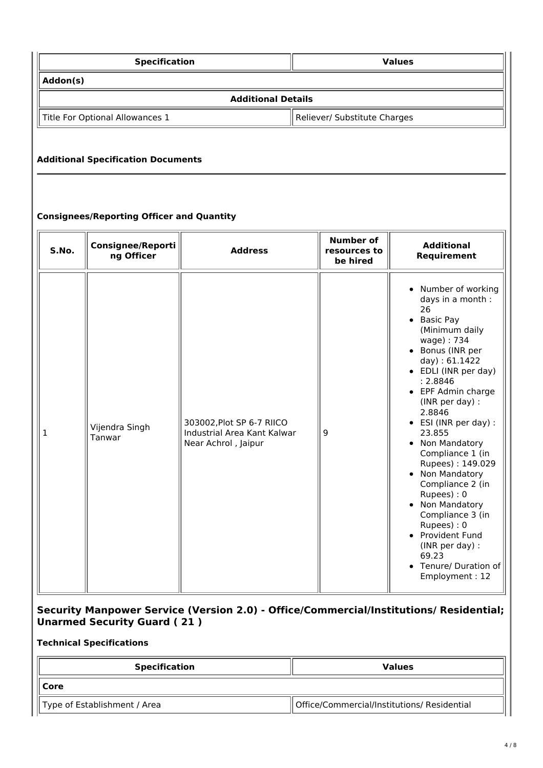| <b>Specification</b>            | <b>Values</b>                |  |
|---------------------------------|------------------------------|--|
| Addon(s)                        |                              |  |
| <b>Additional Details</b>       |                              |  |
| Title For Optional Allowances 1 | Reliever/ Substitute Charges |  |

### **Additional Specification Documents**

### **Consignees/Reporting Officer and Quantity**

| S.No. | <b>Consignee/Reporti</b><br>ng Officer | <b>Address</b>                                                                  | <b>Number of</b><br>resources to<br>be hired | <b>Additional</b><br>Requirement                                                                                                                                                                                                                                                                                                                                                                                                                                                                                                      |
|-------|----------------------------------------|---------------------------------------------------------------------------------|----------------------------------------------|---------------------------------------------------------------------------------------------------------------------------------------------------------------------------------------------------------------------------------------------------------------------------------------------------------------------------------------------------------------------------------------------------------------------------------------------------------------------------------------------------------------------------------------|
| 1     | Vijendra Singh<br>Tanwar               | 303002, Plot SP 6-7 RIICO<br>Industrial Area Kant Kalwar<br>Near Achrol, Jaipur | 9                                            | Number of working<br>$\bullet$<br>days in a month :<br>26<br>• Basic Pay<br>(Minimum daily<br>wage): 734<br>• Bonus (INR per<br>day): 61.1422<br>• EDLI (INR per day)<br>: 2.8846<br>• EPF Admin charge<br>(INR per day) :<br>2.8846<br>• ESI (INR per day) :<br>23.855<br>• Non Mandatory<br>Compliance 1 (in<br>Rupees): 149.029<br>• Non Mandatory<br>Compliance 2 (in<br>Rupees): 0<br>Non Mandatory<br>Compliance 3 (in<br>Rupees): 0<br>• Provident Fund<br>(INR per day) :<br>69.23<br>• Tenure/ Duration of<br>Employment: 12 |

### **Security Manpower Service (Version 2.0) - Office/Commercial/Institutions/ Residential; Unarmed Security Guard ( 21 )**

#### **Technical Specifications**

| <b>Specification</b>         | <b>Values</b>                               |
|------------------------------|---------------------------------------------|
| ∥ Core                       |                                             |
| Type of Establishment / Area | Office/Commercial/Institutions/ Residential |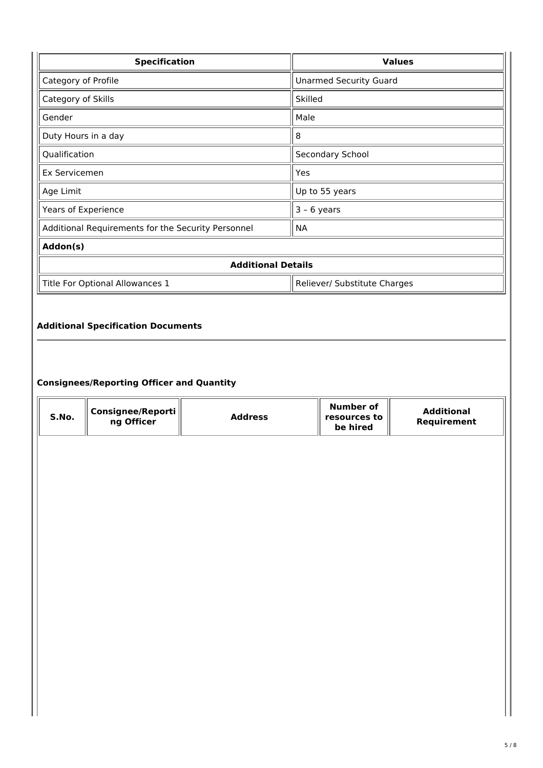| <b>Specification</b>                               | <b>Values</b>                 |  |  |  |
|----------------------------------------------------|-------------------------------|--|--|--|
| Category of Profile                                | <b>Unarmed Security Guard</b> |  |  |  |
| Category of Skills                                 | Skilled                       |  |  |  |
| Gender                                             | Male                          |  |  |  |
| Duty Hours in a day                                | 8                             |  |  |  |
| Qualification                                      | Secondary School              |  |  |  |
| Ex Servicemen                                      | Yes                           |  |  |  |
| Age Limit                                          | Up to 55 years                |  |  |  |
| Years of Experience                                | $3 - 6$ years                 |  |  |  |
| Additional Requirements for the Security Personnel | <b>NA</b>                     |  |  |  |
| Addon(s)                                           |                               |  |  |  |
| <b>Additional Details</b>                          |                               |  |  |  |
| Title For Optional Allowances 1                    | Reliever/ Substitute Charges  |  |  |  |
|                                                    |                               |  |  |  |
| <b>Additional Specification Documents</b>          |                               |  |  |  |
|                                                    |                               |  |  |  |

### **Consignees/Reporting Officer and Quantity**

| S.No. | Consignee/Reporti<br>ng Officer | <b>Address</b> | <b>Number of</b><br>resources to<br>be hired | <b>Additional</b><br>Requirement |
|-------|---------------------------------|----------------|----------------------------------------------|----------------------------------|
|       |                                 |                |                                              |                                  |
|       |                                 |                |                                              |                                  |
|       |                                 |                |                                              |                                  |
|       |                                 |                |                                              |                                  |
|       |                                 |                |                                              |                                  |
|       |                                 |                |                                              |                                  |
|       |                                 |                |                                              |                                  |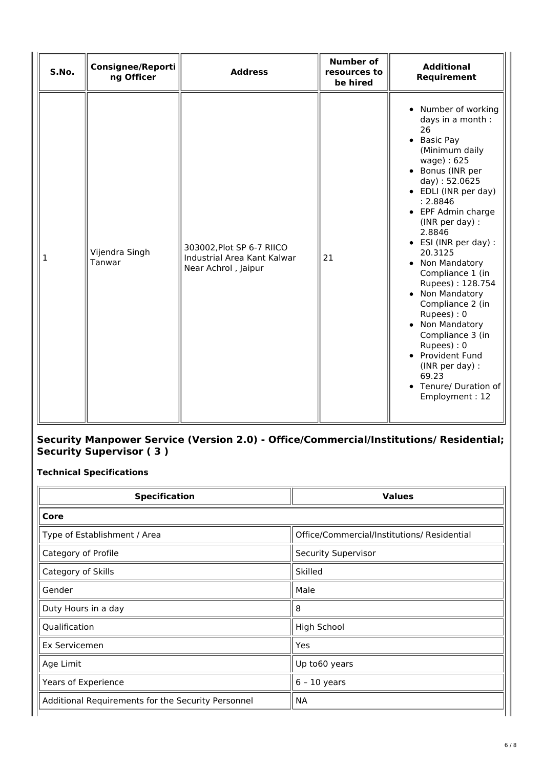| S.No.        | <b>Consignee/Reporti</b><br>ng Officer | <b>Address</b>                                                                  | <b>Number of</b><br>resources to<br>be hired | <b>Additional</b><br>Requirement                                                                                                                                                                                                                                                                                                                                                                                                                                                                                              |
|--------------|----------------------------------------|---------------------------------------------------------------------------------|----------------------------------------------|-------------------------------------------------------------------------------------------------------------------------------------------------------------------------------------------------------------------------------------------------------------------------------------------------------------------------------------------------------------------------------------------------------------------------------------------------------------------------------------------------------------------------------|
| $\mathbf{1}$ | Vijendra Singh<br>Tanwar               | 303002, Plot SP 6-7 RIICO<br>Industrial Area Kant Kalwar<br>Near Achrol, Jaipur | 21                                           | • Number of working<br>days in a month :<br>26<br>• Basic Pay<br>(Minimum daily<br>wage): 625<br>• Bonus (INR per<br>day): 52.0625<br>• EDLI (INR per day)<br>: 2.8846<br>• EPF Admin charge<br>(INR per day) :<br>2.8846<br>• ESI (INR per day) :<br>20.3125<br>• Non Mandatory<br>Compliance 1 (in<br>Rupees): 128.754<br>• Non Mandatory<br>Compliance 2 (in<br>Rupees): 0<br>• Non Mandatory<br>Compliance 3 (in<br>Rupees): 0<br>• Provident Fund<br>(INR per day) :<br>69.23<br>• Tenure/ Duration of<br>Employment: 12 |

### **Security Manpower Service (Version 2.0) - Office/Commercial/Institutions/ Residential; Security Supervisor ( 3 )**

**Technical Specifications**

| <b>Specification</b>                               | <b>Values</b>                               |
|----------------------------------------------------|---------------------------------------------|
| Core                                               |                                             |
| Type of Establishment / Area                       | Office/Commercial/Institutions/ Residential |
| Category of Profile                                | <b>Security Supervisor</b>                  |
| Category of Skills                                 | Skilled                                     |
| Gender                                             | Male                                        |
| Duty Hours in a day                                | 8                                           |
| Qualification                                      | <b>High School</b>                          |
| Ex Servicemen                                      | Yes                                         |
| Age Limit                                          | Up to60 years                               |
| Years of Experience                                | $6 - 10$ years                              |
| Additional Requirements for the Security Personnel | <b>NA</b>                                   |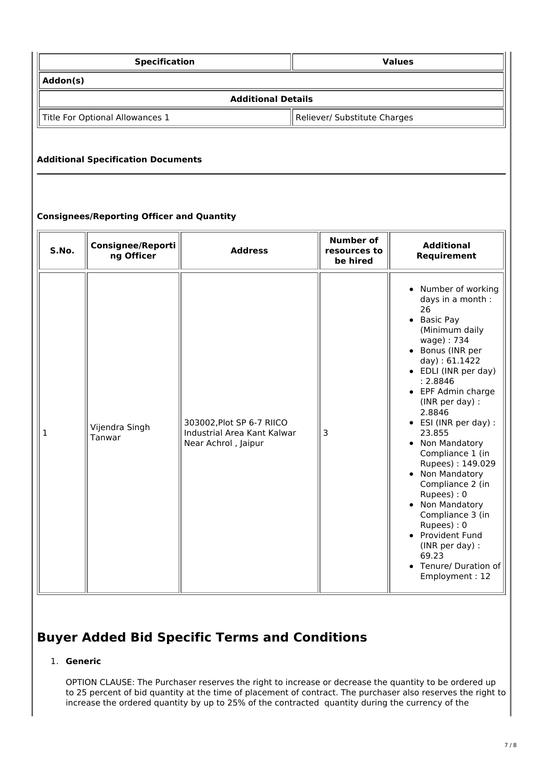| <b>Specification</b>            | <b>Values</b>                |  |  |  |
|---------------------------------|------------------------------|--|--|--|
| Addon(s)                        |                              |  |  |  |
| <b>Additional Details</b>       |                              |  |  |  |
| Title For Optional Allowances 1 | Reliever/ Substitute Charges |  |  |  |

### **Additional Specification Documents**

### **Consignees/Reporting Officer and Quantity**

| S.No. | <b>Consignee/Reporti</b><br>ng Officer | <b>Address</b>                                                                  | <b>Number of</b><br>resources to<br>be hired | <b>Additional</b><br>Requirement                                                                                                                                                                                                                                                                                                                                                                                                                                                                                                                                       |
|-------|----------------------------------------|---------------------------------------------------------------------------------|----------------------------------------------|------------------------------------------------------------------------------------------------------------------------------------------------------------------------------------------------------------------------------------------------------------------------------------------------------------------------------------------------------------------------------------------------------------------------------------------------------------------------------------------------------------------------------------------------------------------------|
| 1     | Vijendra Singh<br>Tanwar               | 303002, Plot SP 6-7 RIICO<br>Industrial Area Kant Kalwar<br>Near Achrol, Jaipur | 3                                            | Number of working<br>$\bullet$<br>days in a month :<br>26<br>• Basic Pay<br>(Minimum daily<br>wage): 734<br>• Bonus (INR per<br>day): 61.1422<br>• EDLI (INR per day)<br>: 2.8846<br>• EPF Admin charge<br>(INR per day) :<br>2.8846<br>• ESI (INR per day) :<br>23.855<br>Non Mandatory<br>$\bullet$<br>Compliance 1 (in<br>Rupees): 149.029<br>• Non Mandatory<br>Compliance 2 (in<br>Rupees): 0<br>Non Mandatory<br>Compliance 3 (in<br>Rupees): 0<br>Provident Fund<br>$\bullet$<br>(INR per day) :<br>69.23<br>Tenure/ Duration of<br>$\bullet$<br>Employment: 12 |

### **Buyer Added Bid Specific Terms and Conditions**

#### 1. **Generic**

OPTION CLAUSE: The Purchaser reserves the right to increase or decrease the quantity to be ordered up to 25 percent of bid quantity at the time of placement of contract. The purchaser also reserves the right to increase the ordered quantity by up to 25% of the contracted quantity during the currency of the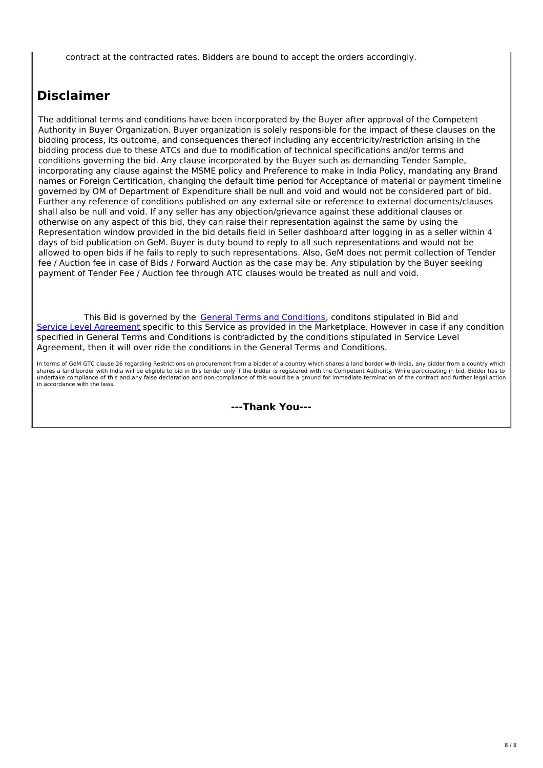contract at the contracted rates. Bidders are bound to accept the orders accordingly.

## **Disclaimer**

The additional terms and conditions have been incorporated by the Buyer after approval of the Competent Authority in Buyer Organization. Buyer organization is solely responsible for the impact of these clauses on the bidding process, its outcome, and consequences thereof including any eccentricity/restriction arising in the bidding process due to these ATCs and due to modification of technical specifications and/or terms and conditions governing the bid. Any clause incorporated by the Buyer such as demanding Tender Sample, incorporating any clause against the MSME policy and Preference to make in India Policy, mandating any Brand names or Foreign Certification, changing the default time period for Acceptance of material or payment timeline governed by OM of Department of Expenditure shall be null and void and would not be considered part of bid. Further any reference of conditions published on any external site or reference to external documents/clauses shall also be null and void. If any seller has any objection/grievance against these additional clauses or otherwise on any aspect of this bid, they can raise their representation against the same by using the Representation window provided in the bid details field in Seller dashboard after logging in as a seller within 4 days of bid publication on GeM. Buyer is duty bound to reply to all such representations and would not be allowed to open bids if he fails to reply to such representations. Also, GeM does not permit collection of Tender fee / Auction fee in case of Bids / Forward Auction as the case may be. Any stipulation by the Buyer seeking payment of Tender Fee / Auction fee through ATC clauses would be treated as null and void.

This Bid is governed by the General Terms and [Conditions](https://admin.gem.gov.in/apis/v1/gtc/pdfByDate/?date=20220620), conditons stipulated in Bid and Service Level [Agreement](https://bidplus.gem.gov.in/bidding/bid/bidsla/12324473848129) specific to this Service as provided in the Marketplace. However in case if any condition specified in General Terms and Conditions is contradicted by the conditions stipulated in Service Level Agreement, then it will over ride the conditions in the General Terms and Conditions.

In terms of GeM GTC clause 26 regarding Restrictions on procurement from a bidder of a country which shares a land border with India, any bidder from a country which shares a land border with India will be eligible to bid in this tender only if the bidder is registered with the Competent Authority. While participating in bid, Bidder has to undertake compliance of this and any false declaration and non-compliance of this would be a ground for immediate termination of the contract and further legal action in accordance with the laws.

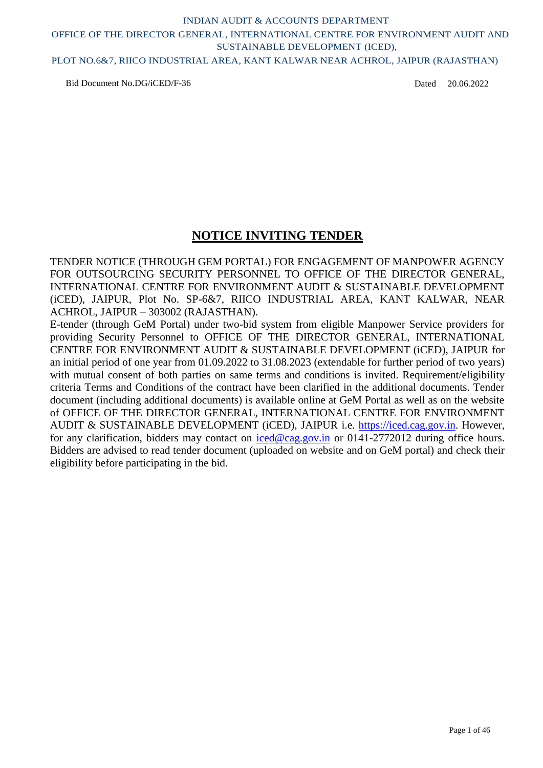### PLOT NO.6&7, RIICO INDUSTRIAL AREA, KANT KALWAR NEAR ACHROL, JAIPUR (RAJASTHAN)

Bid Document No.DG/iCED/F-36

Dated 20.06.2022

### **NOTICE INVITING TENDER**

TENDER NOTICE (THROUGH GEM PORTAL) FOR ENGAGEMENT OF MANPOWER AGENCY FOR OUTSOURCING SECURITY PERSONNEL TO OFFICE OF THE DIRECTOR GENERAL, INTERNATIONAL CENTRE FOR ENVIRONMENT AUDIT & SUSTAINABLE DEVELOPMENT (iCED), JAIPUR, Plot No. SP-6&7, RIICO INDUSTRIAL AREA, KANT KALWAR, NEAR ACHROL, JAIPUR – 303002 (RAJASTHAN).

E-tender (through GeM Portal) under two-bid system from eligible Manpower Service providers for providing Security Personnel to OFFICE OF THE DIRECTOR GENERAL, INTERNATIONAL CENTRE FOR ENVIRONMENT AUDIT & SUSTAINABLE DEVELOPMENT (iCED), JAIPUR for an initial period of one year from 01.09.2022 to 31.08.2023 (extendable for further period of two years) with mutual consent of both parties on same terms and conditions is invited. Requirement/eligibility criteria Terms and Conditions of the contract have been clarified in the additional documents. Tender document (including additional documents) is available online at GeM Portal as well as on the website of OFFICE OF THE DIRECTOR GENERAL, INTERNATIONAL CENTRE FOR ENVIRONMENT AUDIT & SUSTAINABLE DEVELOPMENT (iCED), JAIPUR i.e. [https://iced.cag.gov.in.](https://iced.cag.gov.in/) However, for any clarification, bidders may contact on [iced@cag.gov.in](mailto:iced@cag.gov.in) or 0141-2772012 during office hours. Bidders are advised to read tender document (uploaded on website and on GeM portal) and check their eligibility before participating in the bid.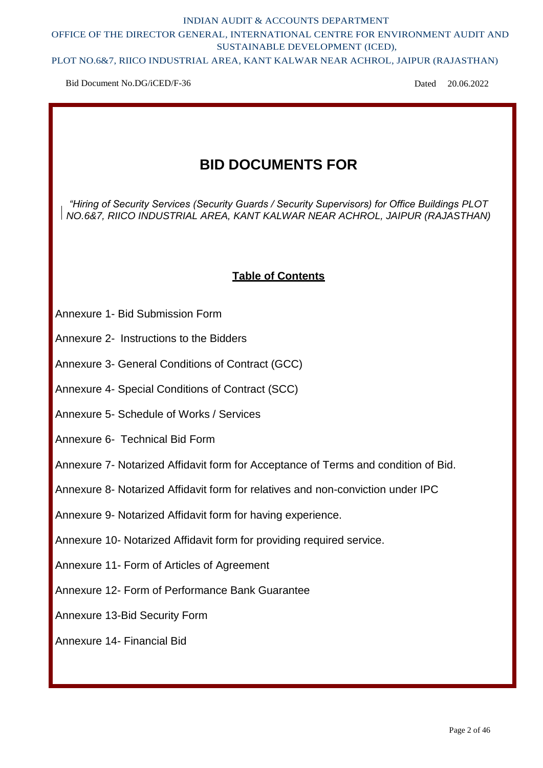### PLOT NO.6&7, RIICO INDUSTRIAL AREA, KANT KALWAR NEAR ACHROL, JAIPUR (RAJASTHAN)

Bid Document No.DG/iCED/F-36

Dated 20.06.2022

## **BID DOCUMENTS FOR**

*"Hiring of Security Services (Security Guards / Security Supervisors) for Office Buildings PLOT NO.6&7, RIICO INDUSTRIAL AREA, KANT KALWAR NEAR ACHROL, JAIPUR (RAJASTHAN)*

## **Table of Contents**

- Annexure 1- Bid Submission Form
- Annexure 2- Instructions to the Bidders
- Annexure 3- General Conditions of Contract (GCC)
- Annexure 4- Special Conditions of Contract (SCC)
- Annexure 5- Schedule of Works / Services
- Annexure 6- Technical Bid Form
- Annexure 7- Notarized Affidavit form for Acceptance of Terms and condition of Bid.
- Annexure 8- Notarized Affidavit form for relatives and non-conviction under IPC
- Annexure 9- Notarized Affidavit form for having experience.
- Annexure 10- Notarized Affidavit form for providing required service.
- Annexure 11- Form of Articles of Agreement
- Annexure 12- Form of Performance Bank Guarantee
- Annexure 13-Bid Security Form

### Annexure 14- Financial Bid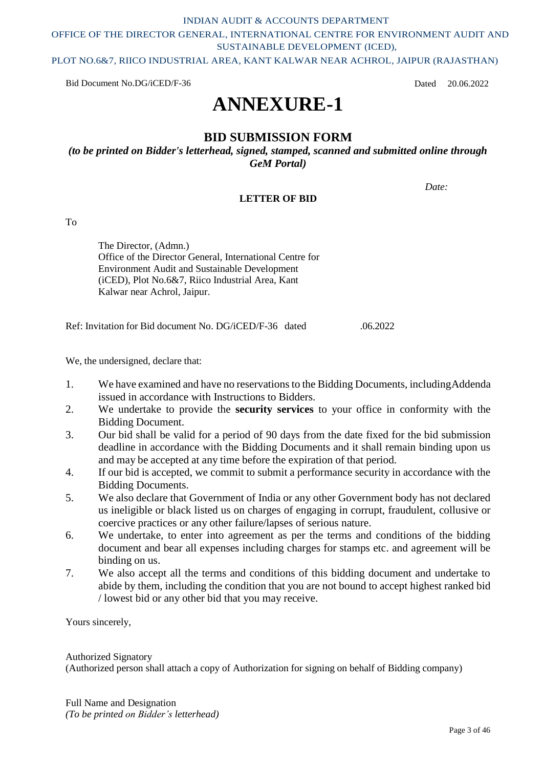PLOT NO.6&7, RIICO INDUSTRIAL AREA, KANT KALWAR NEAR ACHROL, JAIPUR (RAJASTHAN)

Bid Document No.DG/iCED/F-36

Dated 20.06.2022

## **ANNEXURE-1**

### **BID SUBMISSION FORM**

*(to be printed on Bidder's letterhead, signed, stamped, scanned and submitted online through GeM Portal)*

*Date:*

### **LETTER OF BID**

To

The Director, (Admn.) Office of the Director General, International Centre for Environment Audit and Sustainable Development (iCED), Plot No.6&7, Riico Industrial Area, Kant Kalwar near Achrol, Jaipur.

Ref: Invitation for Bid document No. DG/iCED/F-36 dated .06.2022

We, the undersigned, declare that:

- 1. We have examined and have no reservations to the Bidding Documents, including Addenda issued in accordance with Instructions to Bidders.
- 2. We undertake to provide the **security services** to your office in conformity with the Bidding Document.
- 3. Our bid shall be valid for a period of 90 days from the date fixed for the bid submission deadline in accordance with the Bidding Documents and it shall remain binding upon us and may be accepted at any time before the expiration of that period.
- 4. If our bid is accepted, we commit to submit a performance security in accordance with the Bidding Documents.
- 5. We also declare that Government of India or any other Government body has not declared us ineligible or black listed us on charges of engaging in corrupt, fraudulent, collusive or coercive practices or any other failure/lapses of serious nature.
- 6. We undertake, to enter into agreement as per the terms and conditions of the bidding document and bear all expenses including charges for stamps etc. and agreement will be binding on us.
- 7. We also accept all the terms and conditions of this bidding document and undertake to abide by them, including the condition that you are not bound to accept highest ranked bid / lowest bid or any other bid that you may receive.

Yours sincerely,

Authorized Signatory (Authorized person shall attach a copy of Authorization for signing on behalf of Bidding company)

Full Name and Designation *(To be printed on Bidder's letterhead)*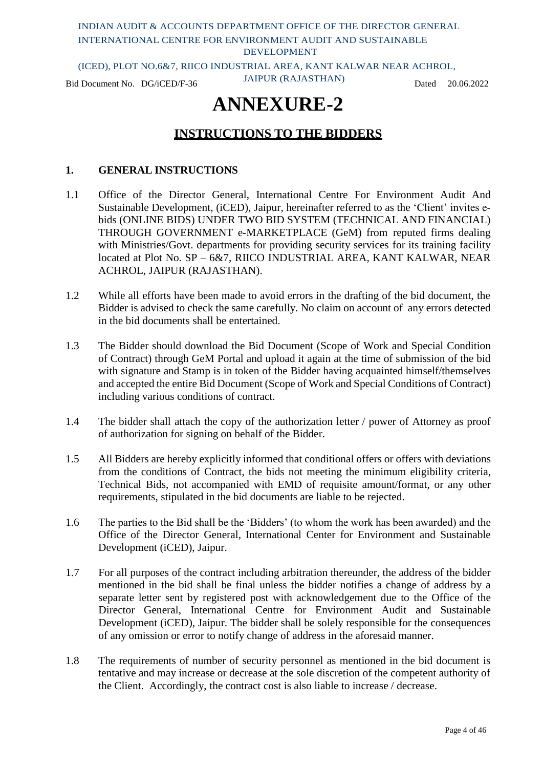(ICED), PLOT NO.6&7, RIICO INDUSTRIAL AREA, KANT KALWAR NEAR ACHROL,

Bid Document No. DG/iCED/F-36 JAIPUR (RAJASTHAN) Dated 20.06.2022

## **ANNEXURE-2**

### **INSTRUCTIONS TO THE BIDDERS**

### **1. GENERAL INSTRUCTIONS**

- 1.1 Office of the Director General, International Centre For Environment Audit And Sustainable Development, (iCED), Jaipur, hereinafter referred to as the 'Client' invites ebids (ONLINE BIDS) UNDER TWO BID SYSTEM (TECHNICAL AND FINANCIAL) THROUGH GOVERNMENT e-MARKETPLACE (GeM) from reputed firms dealing with Ministries/Govt. departments for providing security services for its training facility located at Plot No. SP – 6&7, RIICO INDUSTRIAL AREA, KANT KALWAR, NEAR ACHROL, JAIPUR (RAJASTHAN).
- 1.2 While all efforts have been made to avoid errors in the drafting of the bid document, the Bidder is advised to check the same carefully. No claim on account of any errors detected in the bid documents shall be entertained.
- 1.3 The Bidder should download the Bid Document (Scope of Work and Special Condition of Contract) through GeM Portal and upload it again at the time of submission of the bid with signature and Stamp is in token of the Bidder having acquainted himself/themselves and accepted the entire Bid Document (Scope of Work and Special Conditions of Contract) including various conditions of contract.
- 1.4 The bidder shall attach the copy of the authorization letter / power of Attorney as proof of authorization for signing on behalf of the Bidder.
- 1.5 All Bidders are hereby explicitly informed that conditional offers or offers with deviations from the conditions of Contract, the bids not meeting the minimum eligibility criteria, Technical Bids, not accompanied with EMD of requisite amount/format, or any other requirements, stipulated in the bid documents are liable to be rejected.
- 1.6 The parties to the Bid shall be the 'Bidders' (to whom the work has been awarded) and the Office of the Director General, International Center for Environment and Sustainable Development (iCED), Jaipur.
- 1.7 For all purposes of the contract including arbitration thereunder, the address of the bidder mentioned in the bid shall be final unless the bidder notifies a change of address by a separate letter sent by registered post with acknowledgement due to the Office of the Director General, International Centre for Environment Audit and Sustainable Development (iCED), Jaipur. The bidder shall be solely responsible for the consequences of any omission or error to notify change of address in the aforesaid manner.
- 1.8 The requirements of number of security personnel as mentioned in the bid document is tentative and may increase or decrease at the sole discretion of the competent authority of the Client. Accordingly, the contract cost is also liable to increase / decrease.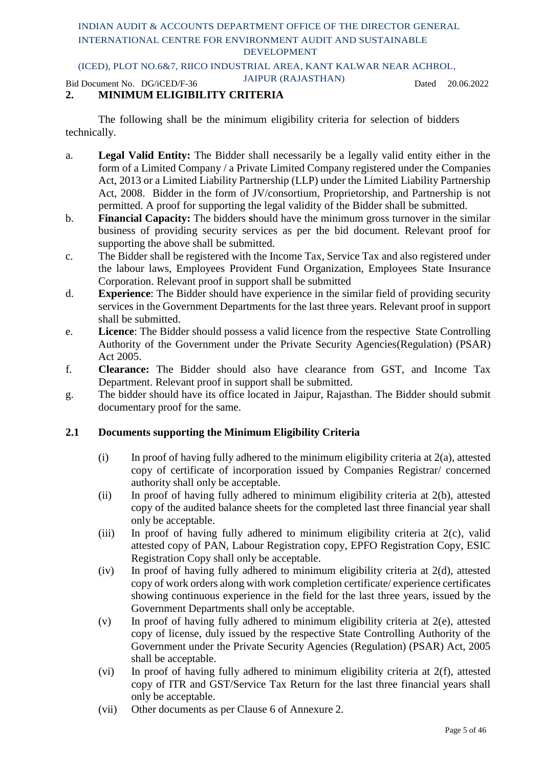### (ICED), PLOT NO.6&7, RIICO INDUSTRIAL AREA, KANT KALWAR NEAR ACHROL,

Bid Document No. DG/iCED/F-36 JAIPUR (RAJASTHAN) Dated 20.06.2022

### **2. MINIMUM ELIGIBILITY CRITERIA**

The following shall be the minimum eligibility criteria for selection of bidders technically.

- a. **Legal Valid Entity:** The Bidder shall necessarily be a legally valid entity either in the form of a Limited Company / a Private Limited Company registered under the Companies Act, 2013 or a Limited Liability Partnership (LLP) under the Limited Liability Partnership Act, 2008. Bidder in the form of JV/consortium, Proprietorship, and Partnership is not permitted. A proof for supporting the legal validity of the Bidder shall be submitted.
- b. **Financial Capacity:** The bidders **s**hould have the minimum gross turnover in the similar business of providing security services as per the bid document. Relevant proof for supporting the above shall be submitted.
- c. The Bidder shall be registered with the Income Tax, Service Tax and also registered under the labour laws, Employees Provident Fund Organization, Employees State Insurance Corporation. Relevant proof in support shall be submitted
- d. **Experience**: The Bidder should have experience in the similar field of providing security services in the Government Departments for the last three years. Relevant proof in support shall be submitted.
- e. **Licence**: The Bidder should possess a valid licence from the respective State Controlling Authority of the Government under the Private Security Agencies(Regulation) (PSAR) Act 2005.
- f. **Clearance:** The Bidder should also have clearance from GST, and Income Tax Department. Relevant proof in support shall be submitted.
- g. The bidder should have its office located in Jaipur, Rajasthan. The Bidder should submit documentary proof for the same.

### **2.1 Documents supporting the Minimum Eligibility Criteria**

- (i) In proof of having fully adhered to the minimum eligibility criteria at 2(a), attested copy of certificate of incorporation issued by Companies Registrar/ concerned authority shall only be acceptable.
- (ii) In proof of having fully adhered to minimum eligibility criteria at 2(b), attested copy of the audited balance sheets for the completed last three financial year shall only be acceptable.
- (iii) In proof of having fully adhered to minimum eligibility criteria at 2(c), valid attested copy of PAN, Labour Registration copy, EPFO Registration Copy, ESIC Registration Copy shall only be acceptable.
- (iv) In proof of having fully adhered to minimum eligibility criteria at 2(d), attested copy of work orders along with work completion certificate/ experience certificates showing continuous experience in the field for the last three years, issued by the Government Departments shall only be acceptable.
- (v) In proof of having fully adhered to minimum eligibility criteria at 2(e), attested copy of license, duly issued by the respective State Controlling Authority of the Government under the Private Security Agencies (Regulation) (PSAR) Act, 2005 shall be acceptable.
- (vi) In proof of having fully adhered to minimum eligibility criteria at 2(f), attested copy of ITR and GST/Service Tax Return for the last three financial years shall only be acceptable.
- (vii) Other documents as per Clause 6 of Annexure 2.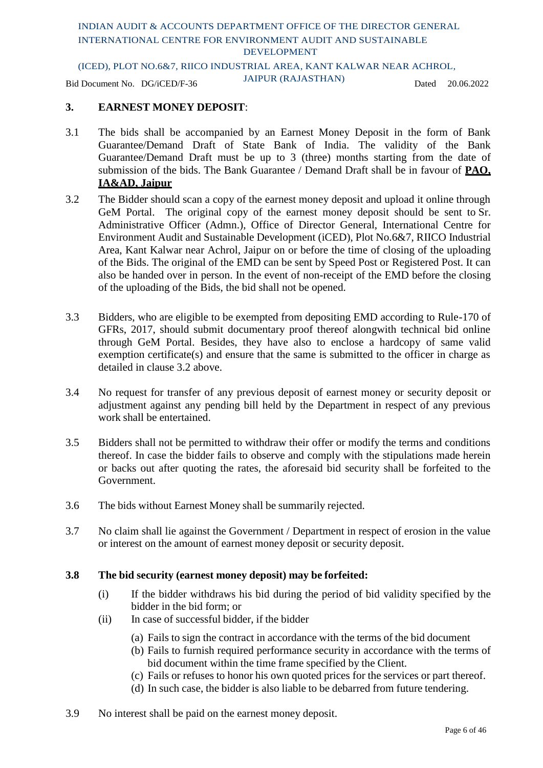### (ICED), PLOT NO.6&7, RIICO INDUSTRIAL AREA, KANT KALWAR NEAR ACHROL,

Bid Document No. DG/iCED/F-36 JAIPUR (RAJASTHAN) Dated 20.06.2022

### **3. EARNEST MONEY DEPOSIT**:

- 3.1 The bids shall be accompanied by an Earnest Money Deposit in the form of Bank Guarantee/Demand Draft of State Bank of India. The validity of the Bank Guarantee/Demand Draft must be up to 3 (three) months starting from the date of submission of the bids. The Bank Guarantee / Demand Draft shall be in favour of **PAO, IA&AD, Jaipur**
- 3.2 The Bidder should scan a copy of the earnest money deposit and upload it online through GeM Portal. The original copy of the earnest money deposit should be sent to Sr. Administrative Officer (Admn.), Office of Director General, International Centre for Environment Audit and Sustainable Development (iCED), Plot No.6&7, RIICO Industrial Area, Kant Kalwar near Achrol, Jaipur on or before the time of closing of the uploading of the Bids. The original of the EMD can be sent by Speed Post or Registered Post. It can also be handed over in person. In the event of non-receipt of the EMD before the closing of the uploading of the Bids, the bid shall not be opened.
- 3.3 Bidders, who are eligible to be exempted from depositing EMD according to Rule-170 of GFRs, 2017, should submit documentary proof thereof alongwith technical bid online through GeM Portal. Besides, they have also to enclose a hardcopy of same valid exemption certificate(s) and ensure that the same is submitted to the officer in charge as detailed in clause 3.2 above.
- 3.4 No request for transfer of any previous deposit of earnest money or security deposit or adjustment against any pending bill held by the Department in respect of any previous work shall be entertained.
- 3.5 Bidders shall not be permitted to withdraw their offer or modify the terms and conditions thereof. In case the bidder fails to observe and comply with the stipulations made herein or backs out after quoting the rates, the aforesaid bid security shall be forfeited to the Government.
- 3.6 The bids without Earnest Money shall be summarily rejected.
- 3.7 No claim shall lie against the Government / Department in respect of erosion in the value or interest on the amount of earnest money deposit or security deposit.

#### **3.8 The bid security (earnest money deposit) may be forfeited:**

- (i) If the bidder withdraws his bid during the period of bid validity specified by the bidder in the bid form; or
- (ii) In case of successful bidder, if the bidder
	- (a) Fails to sign the contract in accordance with the terms of the bid document
	- (b) Fails to furnish required performance security in accordance with the terms of bid document within the time frame specified by the Client.
	- (c) Fails or refuses to honor his own quoted prices for the services or part thereof.
	- (d) In such case, the bidder is also liable to be debarred from future tendering.
- 3.9 No interest shall be paid on the earnest money deposit.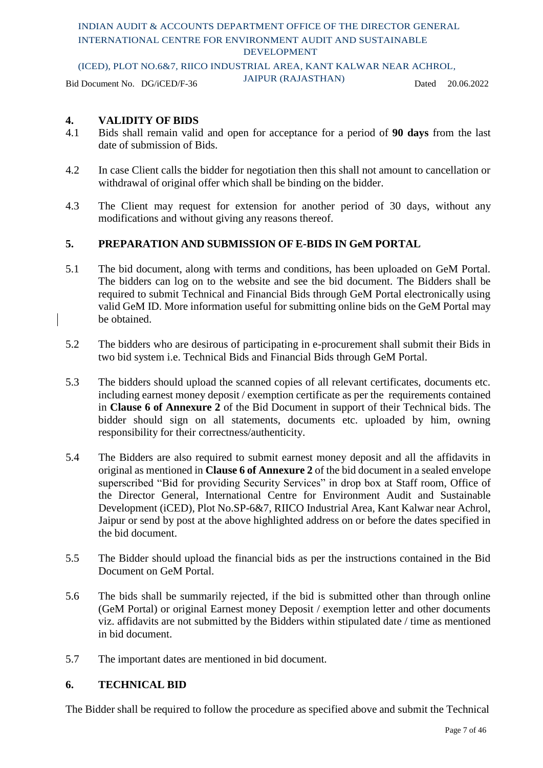### (ICED), PLOT NO.6&7, RIICO INDUSTRIAL AREA, KANT KALWAR NEAR ACHROL,

Bid Document No. DG/iCED/F-36 JAIPUR (RAJASTHAN) Dated 20.06.2022

### **4. VALIDITY OF BIDS**

- 4.1 Bids shall remain valid and open for acceptance for a period of **90 days** from the last date of submission of Bids.
- 4.2 In case Client calls the bidder for negotiation then this shall not amount to cancellation or withdrawal of original offer which shall be binding on the bidder.
- 4.3 The Client may request for extension for another period of 30 days, without any modifications and without giving any reasons thereof.

### **5. PREPARATION AND SUBMISSION OF E-BIDS IN GeM PORTAL**

- 5.1 The bid document, along with terms and conditions, has been uploaded on GeM Portal. The bidders can log on to the website and see the bid document. The Bidders shall be required to submit Technical and Financial Bids through GeM Portal electronically using valid GeM ID. More information useful for submitting online bids on the GeM Portal may be obtained.
- 5.2 The bidders who are desirous of participating in e-procurement shall submit their Bids in two bid system i.e. Technical Bids and Financial Bids through GeM Portal.
- 5.3 The bidders should upload the scanned copies of all relevant certificates, documents etc. including earnest money deposit / exemption certificate as per the requirements contained in **Clause 6 of Annexure 2** of the Bid Document in support of their Technical bids. The bidder should sign on all statements, documents etc. uploaded by him, owning responsibility for their correctness/authenticity.
- 5.4 The Bidders are also required to submit earnest money deposit and all the affidavits in original as mentioned in **Clause 6 of Annexure 2** of the bid document in a sealed envelope superscribed "Bid for providing Security Services" in drop box at Staff room, Office of the Director General, International Centre for Environment Audit and Sustainable Development (iCED), Plot No.SP-6&7, RIICO Industrial Area, Kant Kalwar near Achrol, Jaipur or send by post at the above highlighted address on or before the dates specified in the bid document.
- 5.5 The Bidder should upload the financial bids as per the instructions contained in the Bid Document on GeM Portal.
- 5.6 The bids shall be summarily rejected, if the bid is submitted other than through online (GeM Portal) or original Earnest money Deposit / exemption letter and other documents viz. affidavits are not submitted by the Bidders within stipulated date / time as mentioned in bid document.
- 5.7 The important dates are mentioned in bid document.

#### **6. TECHNICAL BID**

The Bidder shall be required to follow the procedure as specified above and submit the Technical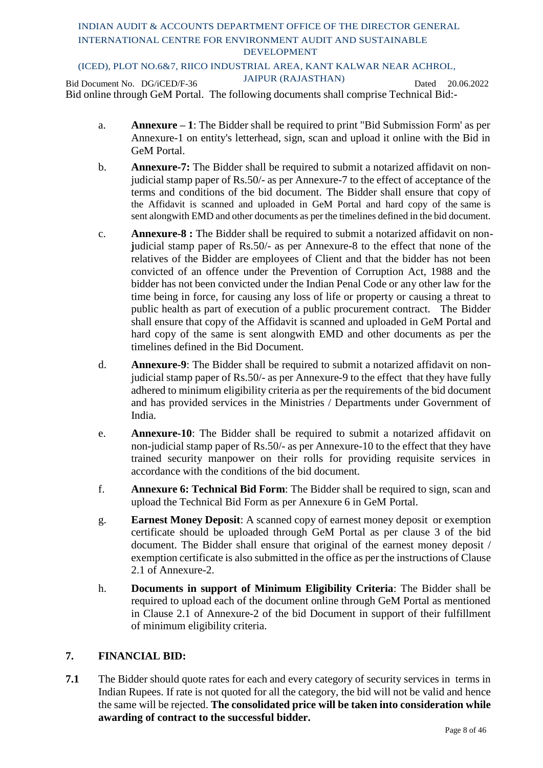### (ICED), PLOT NO.6&7, RIICO INDUSTRIAL AREA, KANT KALWAR NEAR ACHROL,

Bid Document No. DG/iCED/F-36 JAIPUR (RAJASTHAN) Dated 20.06.2022 Bid online through GeM Portal. The following documents shall comprise Technical Bid:-

- a. **Annexure – 1**: The Bidder shall be required to print "Bid Submission Form' as per Annexure-1 on entity's letterhead, sign, scan and upload it online with the Bid in GeM Portal.
- b. **Annexure-7:** The Bidder shall be required to submit a notarized affidavit on nonjudicial stamp paper of Rs.50/- as per Annexure-7 to the effect of acceptance of the terms and conditions of the bid document. The Bidder shall ensure that copy of the Affidavit is scanned and uploaded in GeM Portal and hard copy of the same is sent alongwith EMD and other documents as per the timelines defined in the bid document.
- c. **Annexure-8 :** The Bidder shall be required to submit a notarized affidavit on nonjudicial stamp paper of Rs.50/- as per Annexure-8 to the effect that none of the relatives of the Bidder are employees of Client and that the bidder has not been convicted of an offence under the Prevention of Corruption Act, 1988 and the bidder has not been convicted under the Indian Penal Code or any other law for the time being in force, for causing any loss of life or property or causing a threat to public health as part of execution of a public procurement contract. The Bidder shall ensure that copy of the Affidavit is scanned and uploaded in GeM Portal and hard copy of the same is sent alongwith EMD and other documents as per the timelines defined in the Bid Document.
- d. **Annexure-9**: The Bidder shall be required to submit a notarized affidavit on nonjudicial stamp paper of Rs.50/- as per Annexure-9 to the effect that they have fully adhered to minimum eligibility criteria as per the requirements of the bid document and has provided services in the Ministries / Departments under Government of India.
- e. **Annexure-10**: The Bidder shall be required to submit a notarized affidavit on non-judicial stamp paper of Rs.50/- as per Annexure-10 to the effect that they have trained security manpower on their rolls for providing requisite services in accordance with the conditions of the bid document.
- f. **Annexure 6: Technical Bid Form**: The Bidder shall be required to sign, scan and upload the Technical Bid Form as per Annexure 6 in GeM Portal.
- g. **Earnest Money Deposit**: A scanned copy of earnest money deposit or exemption certificate should be uploaded through GeM Portal as per clause 3 of the bid document. The Bidder shall ensure that original of the earnest money deposit / exemption certificate is also submitted in the office as per the instructions of Clause 2.1 of Annexure-2.
- h. **Documents in support of Minimum Eligibility Criteria**: The Bidder shall be required to upload each of the document online through GeM Portal as mentioned in Clause 2.1 of Annexure-2 of the bid Document in support of their fulfillment of minimum eligibility criteria.

### **7. FINANCIAL BID:**

**7.1** The Bidder should quote rates for each and every category of security services in terms in Indian Rupees. If rate is not quoted for all the category, the bid will not be valid and hence the same will be rejected. **The consolidated price will be taken into consideration while awarding of contract to the successful bidder.**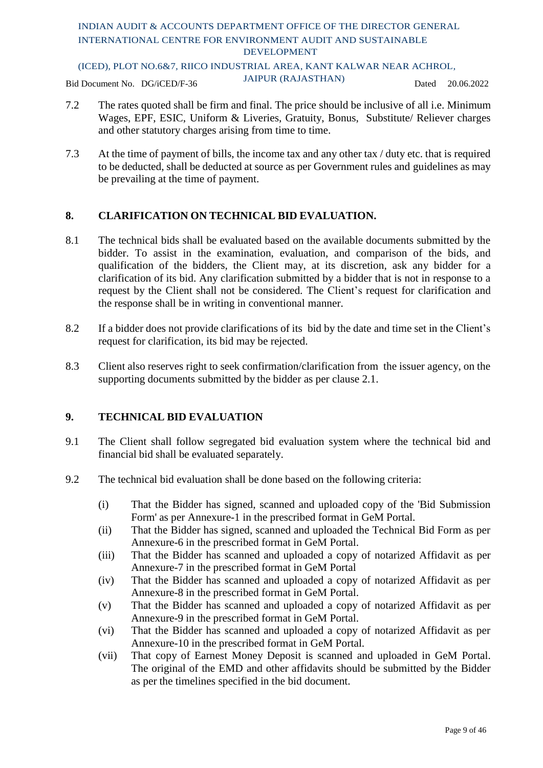(ICED), PLOT NO.6&7, RIICO INDUSTRIAL AREA, KANT KALWAR NEAR ACHROL,

Bid Document No. DG/iCED/F-36 JAIPUR (RAJASTHAN) Dated 20.06.2022

- 7.2 The rates quoted shall be firm and final. The price should be inclusive of all i.e. Minimum Wages, EPF, ESIC, Uniform & Liveries, Gratuity, Bonus, Substitute/ Reliever charges and other statutory charges arising from time to time.
- 7.3 At the time of payment of bills, the income tax and any other tax / duty etc. that is required to be deducted, shall be deducted at source as per Government rules and guidelines as may be prevailing at the time of payment.

### **8. CLARIFICATION ON TECHNICAL BID EVALUATION.**

- 8.1 The technical bids shall be evaluated based on the available documents submitted by the bidder. To assist in the examination, evaluation, and comparison of the bids, and qualification of the bidders, the Client may, at its discretion, ask any bidder for a clarification of its bid. Any clarification submitted by a bidder that is not in response to a request by the Client shall not be considered. The Client's request for clarification and the response shall be in writing in conventional manner.
- 8.2 If a bidder does not provide clarifications of its bid by the date and time set in the Client's request for clarification, its bid may be rejected.
- 8.3 Client also reserves right to seek confirmation/clarification from the issuer agency, on the supporting documents submitted by the bidder as per clause 2.1.

### **9. TECHNICAL BID EVALUATION**

- 9.1 The Client shall follow segregated bid evaluation system where the technical bid and financial bid shall be evaluated separately.
- 9.2 The technical bid evaluation shall be done based on the following criteria:
	- (i) That the Bidder has signed, scanned and uploaded copy of the 'Bid Submission Form' as per Annexure-1 in the prescribed format in GeM Portal.
	- (ii) That the Bidder has signed, scanned and uploaded the Technical Bid Form as per Annexure-6 in the prescribed format in GeM Portal.
	- (iii) That the Bidder has scanned and uploaded a copy of notarized Affidavit as per Annexure-7 in the prescribed format in GeM Portal
	- (iv) That the Bidder has scanned and uploaded a copy of notarized Affidavit as per Annexure-8 in the prescribed format in GeM Portal.
	- (v) That the Bidder has scanned and uploaded a copy of notarized Affidavit as per Annexure-9 in the prescribed format in GeM Portal.
	- (vi) That the Bidder has scanned and uploaded a copy of notarized Affidavit as per Annexure-10 in the prescribed format in GeM Portal.
	- (vii) That copy of Earnest Money Deposit is scanned and uploaded in GeM Portal. The original of the EMD and other affidavits should be submitted by the Bidder as per the timelines specified in the bid document.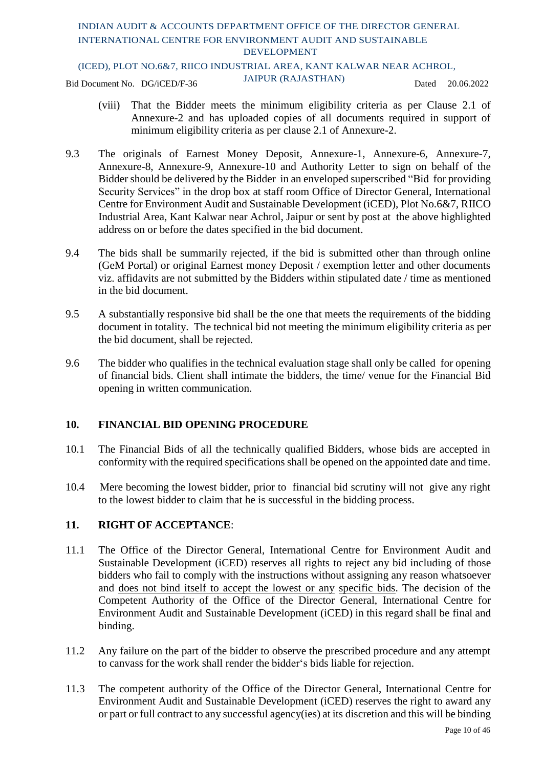### (ICED), PLOT NO.6&7, RIICO INDUSTRIAL AREA, KANT KALWAR NEAR ACHROL,

Bid Document No. DG/iCED/F-36 JAIPUR (RAJASTHAN) Dated 20.06.2022

- (viii) That the Bidder meets the minimum eligibility criteria as per Clause 2.1 of Annexure-2 and has uploaded copies of all documents required in support of minimum eligibility criteria as per clause 2.1 of Annexure-2.
- 9.3 The originals of Earnest Money Deposit, Annexure-1, Annexure-6, Annexure-7, Annexure-8, Annexure-9, Annexure-10 and Authority Letter to sign on behalf of the Bidder should be delivered by the Bidder in an enveloped superscribed "Bid for providing Security Services" in the drop box at staff room Office of Director General, International Centre for Environment Audit and Sustainable Development (iCED), Plot No.6&7, RIICO Industrial Area, Kant Kalwar near Achrol, Jaipur or sent by post at the above highlighted address on or before the dates specified in the bid document.
- 9.4 The bids shall be summarily rejected, if the bid is submitted other than through online (GeM Portal) or original Earnest money Deposit / exemption letter and other documents viz. affidavits are not submitted by the Bidders within stipulated date / time as mentioned in the bid document.
- 9.5 A substantially responsive bid shall be the one that meets the requirements of the bidding document in totality. The technical bid not meeting the minimum eligibility criteria as per the bid document, shall be rejected.
- 9.6 The bidder who qualifies in the technical evaluation stage shall only be called for opening of financial bids. Client shall intimate the bidders, the time/ venue for the Financial Bid opening in written communication.

### **10. FINANCIAL BID OPENING PROCEDURE**

- 10.1 The Financial Bids of all the technically qualified Bidders, whose bids are accepted in conformity with the required specifications shall be opened on the appointed date and time.
- 10.4 Mere becoming the lowest bidder, prior to financial bid scrutiny will not give any right to the lowest bidder to claim that he is successful in the bidding process.

### **11. RIGHT OF ACCEPTANCE**:

- 11.1 The Office of the Director General, International Centre for Environment Audit and Sustainable Development (iCED) reserves all rights to reject any bid including of those bidders who fail to comply with the instructions without assigning any reason whatsoever and does not bind itself to accept the lowest or any specific bids. The decision of the Competent Authority of the Office of the Director General, International Centre for Environment Audit and Sustainable Development (iCED) in this regard shall be final and binding.
- 11.2 Any failure on the part of the bidder to observe the prescribed procedure and any attempt to canvass for the work shall render the bidder's bids liable for rejection.
- 11.3 The competent authority of the Office of the Director General, International Centre for Environment Audit and Sustainable Development (iCED) reserves the right to award any or part or full contract to any successful agency(ies) at its discretion and this will be binding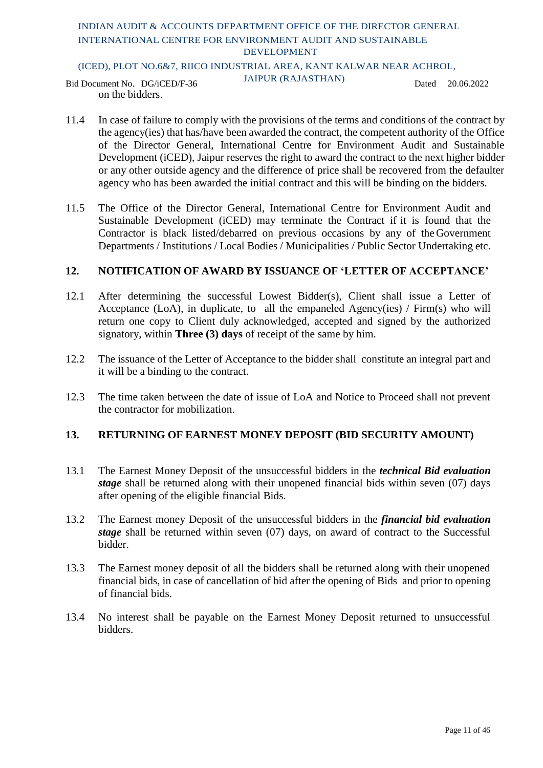### (ICED), PLOT NO.6&7, RIICO INDUSTRIAL AREA, KANT KALWAR NEAR ACHROL,

Bid Document No. DG/iCED/F-36 JAIPUR (RAJASTHAN) Dated 20.06.2022 on the bidders.

- 11.4 In case of failure to comply with the provisions of the terms and conditions of the contract by the agency(ies) that has/have been awarded the contract, the competent authority of the Office of the Director General, International Centre for Environment Audit and Sustainable Development (iCED), Jaipur reserves the right to award the contract to the next higher bidder or any other outside agency and the difference of price shall be recovered from the defaulter agency who has been awarded the initial contract and this will be binding on the bidders.
- 11.5 The Office of the Director General, International Centre for Environment Audit and Sustainable Development (iCED) may terminate the Contract if it is found that the Contractor is black listed/debarred on previous occasions by any of theGovernment Departments / Institutions / Local Bodies / Municipalities / Public Sector Undertaking etc.

### **12. NOTIFICATION OF AWARD BY ISSUANCE OF 'LETTER OF ACCEPTANCE'**

- 12.1 After determining the successful Lowest Bidder(s), Client shall issue a Letter of Acceptance (LoA), in duplicate, to all the empaneled Agency(ies) / Firm(s) who will return one copy to Client duly acknowledged, accepted and signed by the authorized signatory, within **Three (3) days** of receipt of the same by him.
- 12.2 The issuance of the Letter of Acceptance to the bidder shall constitute an integral part and it will be a binding to the contract.
- 12.3 The time taken between the date of issue of LoA and Notice to Proceed shall not prevent the contractor for mobilization.

### **13. RETURNING OF EARNEST MONEY DEPOSIT (BID SECURITY AMOUNT)**

- 13.1 The Earnest Money Deposit of the unsuccessful bidders in the *technical Bid evaluation stage* shall be returned along with their unopened financial bids within seven (07) days after opening of the eligible financial Bids.
- 13.2 The Earnest money Deposit of the unsuccessful bidders in the *financial bid evaluation stage* shall be returned within seven (07) days, on award of contract to the Successful bidder.
- 13.3 The Earnest money deposit of all the bidders shall be returned along with their unopened financial bids, in case of cancellation of bid after the opening of Bids and prior to opening of financial bids.
- 13.4 No interest shall be payable on the Earnest Money Deposit returned to unsuccessful bidders.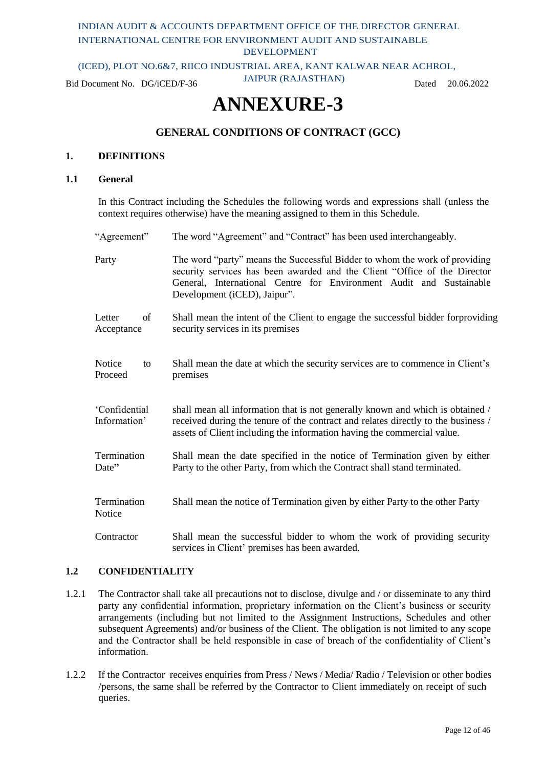(ICED), PLOT NO.6&7, RIICO INDUSTRIAL AREA, KANT KALWAR NEAR ACHROL,

Bid Document No. DG/iCED/F-36 JAIPUR (RAJASTHAN) Dated 20.06.2022

# **ANNEXURE-3**

### **GENERAL CONDITIONS OF CONTRACT (GCC)**

#### **1. DEFINITIONS**

#### **1.1 General**

In this Contract including the Schedules the following words and expressions shall (unless the context requires otherwise) have the meaning assigned to them in this Schedule.

"Agreement" The word "Agreement" and "Contract" has been used interchangeably. Party The word "party" means the Successful Bidder to whom the work of providing security services has been awarded and the Client "Office of the Director General, International Centre for Environment Audit and Sustainable Development (iCED), Jaipur". Letter of Acceptance Shall mean the intent of the Client to engage the successful bidder forproviding security services in its premises Notice to Proceed Shall mean the date at which the security services are to commence in Client's premises 'Confidential Information' shall mean all information that is not generally known and which is obtained / received during the tenure of the contract and relates directly to the business / assets of Client including the information having the commercial value. **Termination** Date**"** Shall mean the date specified in the notice of Termination given by either Party to the other Party, from which the Contract shall stand terminated. Termination Notice Shall mean the notice of Termination given by either Party to the other Party Contractor Shall mean the successful bidder to whom the work of providing security services in Client' premises has been awarded.

#### **1.2 CONFIDENTIALITY**

- 1.2.1 The Contractor shall take all precautions not to disclose, divulge and / or disseminate to any third party any confidential information, proprietary information on the Client's business or security arrangements (including but not limited to the Assignment Instructions, Schedules and other subsequent Agreements) and/or business of the Client. The obligation is not limited to any scope and the Contractor shall be held responsible in case of breach of the confidentiality of Client's information.
- 1.2.2 If the Contractor receives enquiries from Press / News / Media/ Radio / Television or other bodies /persons, the same shall be referred by the Contractor to Client immediately on receipt of such queries.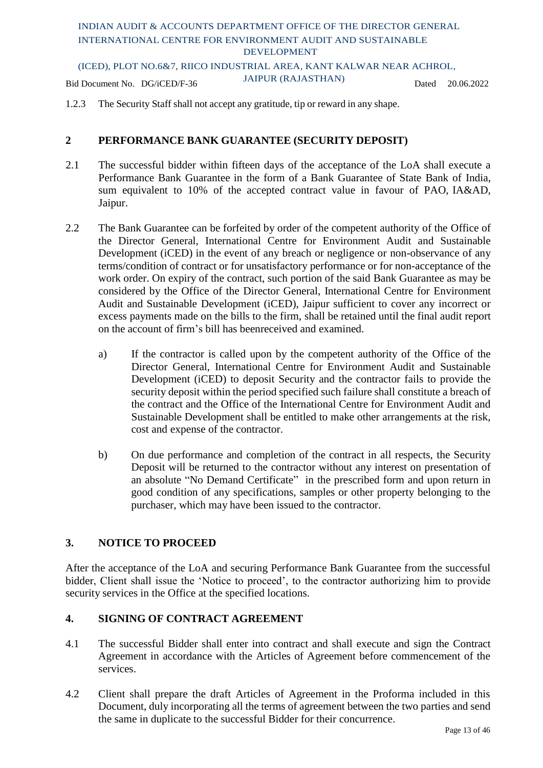(ICED), PLOT NO.6&7, RIICO INDUSTRIAL AREA, KANT KALWAR NEAR ACHROL,

Bid Document No. DG/iCED/F-36 JAIPUR (RAJASTHAN) Dated 20.06.2022

1.2.3 The Security Staff shall not accept any gratitude, tip or reward in any shape.

### **2 PERFORMANCE BANK GUARANTEE (SECURITY DEPOSIT)**

- 2.1 The successful bidder within fifteen days of the acceptance of the LoA shall execute a Performance Bank Guarantee in the form of a Bank Guarantee of State Bank of India, sum equivalent to 10% of the accepted contract value in favour of PAO, IA&AD, Jaipur.
- 2.2 The Bank Guarantee can be forfeited by order of the competent authority of the Office of the Director General, International Centre for Environment Audit and Sustainable Development (iCED) in the event of any breach or negligence or non-observance of any terms/condition of contract or for unsatisfactory performance or for non-acceptance of the work order. On expiry of the contract, such portion of the said Bank Guarantee as may be considered by the Office of the Director General, International Centre for Environment Audit and Sustainable Development (iCED), Jaipur sufficient to cover any incorrect or excess payments made on the bills to the firm, shall be retained until the final audit report on the account of firm's bill has beenreceived and examined.
	- a) If the contractor is called upon by the competent authority of the Office of the Director General, International Centre for Environment Audit and Sustainable Development (iCED) to deposit Security and the contractor fails to provide the security deposit within the period specified such failure shall constitute a breach of the contract and the Office of the International Centre for Environment Audit and Sustainable Development shall be entitled to make other arrangements at the risk, cost and expense of the contractor.
	- b) On due performance and completion of the contract in all respects, the Security Deposit will be returned to the contractor without any interest on presentation of an absolute "No Demand Certificate" in the prescribed form and upon return in good condition of any specifications, samples or other property belonging to the purchaser, which may have been issued to the contractor.

### **3. NOTICE TO PROCEED**

After the acceptance of the LoA and securing Performance Bank Guarantee from the successful bidder, Client shall issue the 'Notice to proceed', to the contractor authorizing him to provide security services in the Office at the specified locations.

### **4. SIGNING OF CONTRACT AGREEMENT**

- 4.1 The successful Bidder shall enter into contract and shall execute and sign the Contract Agreement in accordance with the Articles of Agreement before commencement of the services.
- 4.2 Client shall prepare the draft Articles of Agreement in the Proforma included in this Document, duly incorporating all the terms of agreement between the two parties and send the same in duplicate to the successful Bidder for their concurrence.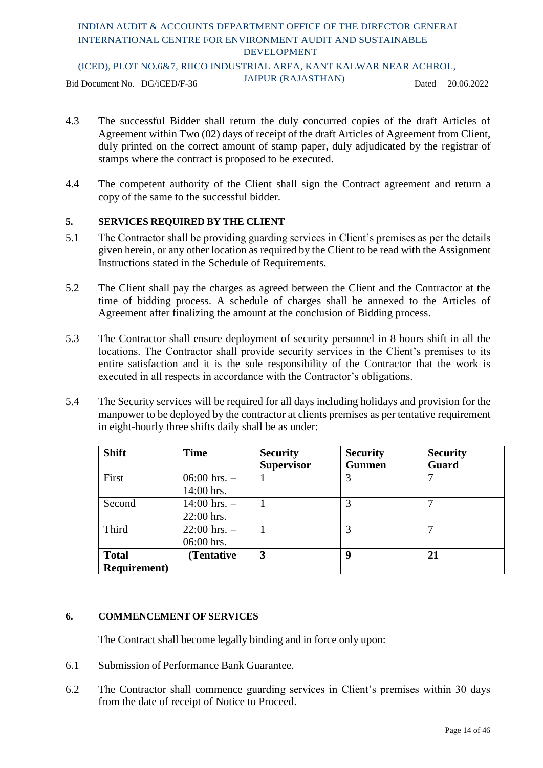### INDIAN AUDIT & ACCOUNTS DEPARTMENT OFFICE OF THE DIRECTOR GENERAL INTERNATIONAL CENTRE FOR ENVIRONMENT AUDIT AND SUSTAINABLE DEVELOPMENT (ICED), PLOT NO.6&7, RIICO INDUSTRIAL AREA, KANT KALWAR NEAR ACHROL,

Bid Document No. DG/iCED/F-36 JAIPUR (RAJASTHAN) Dated 20.06.2022

- 4.3 The successful Bidder shall return the duly concurred copies of the draft Articles of Agreement within Two (02) days of receipt of the draft Articles of Agreement from Client, duly printed on the correct amount of stamp paper, duly adjudicated by the registrar of stamps where the contract is proposed to be executed.
- 4.4 The competent authority of the Client shall sign the Contract agreement and return a copy of the same to the successful bidder.

### **5. SERVICES REQUIRED BY THE CLIENT**

- 5.1 The Contractor shall be providing guarding services in Client's premises as per the details given herein, or any other location as required by the Client to be read with the Assignment Instructions stated in the Schedule of Requirements.
- 5.2 The Client shall pay the charges as agreed between the Client and the Contractor at the time of bidding process. A schedule of charges shall be annexed to the Articles of Agreement after finalizing the amount at the conclusion of Bidding process.
- 5.3 The Contractor shall ensure deployment of security personnel in 8 hours shift in all the locations. The Contractor shall provide security services in the Client's premises to its entire satisfaction and it is the sole responsibility of the Contractor that the work is executed in all respects in accordance with the Contractor's obligations.
- 5.4 The Security services will be required for all days including holidays and provision for the manpower to be deployed by the contractor at clients premises as per tentative requirement in eight-hourly three shifts daily shall be as under:

| <b>Shift</b>         | <b>Time</b>      | <b>Security</b>   | <b>Security</b> | <b>Security</b> |
|----------------------|------------------|-------------------|-----------------|-----------------|
|                      |                  | <b>Supervisor</b> | <b>Gunmen</b>   | Guard           |
| First                | 06:00 hrs. $-$   |                   | 3               |                 |
|                      | 14:00 hrs.       |                   |                 |                 |
| Second               | $14:00$ hrs. $-$ |                   | 3               |                 |
|                      | 22:00 hrs.       |                   |                 |                 |
| Third                | $22:00$ hrs. $-$ |                   | 3               |                 |
|                      | 06:00 hrs.       |                   |                 |                 |
| <b>Total</b>         | (Tentative)      | 3                 | 9               | 21              |
| <b>Requirement</b> ) |                  |                   |                 |                 |

### **6. COMMENCEMENT OF SERVICES**

The Contract shall become legally binding and in force only upon:

- 6.1 Submission of Performance Bank Guarantee.
- 6.2 The Contractor shall commence guarding services in Client's premises within 30 days from the date of receipt of Notice to Proceed.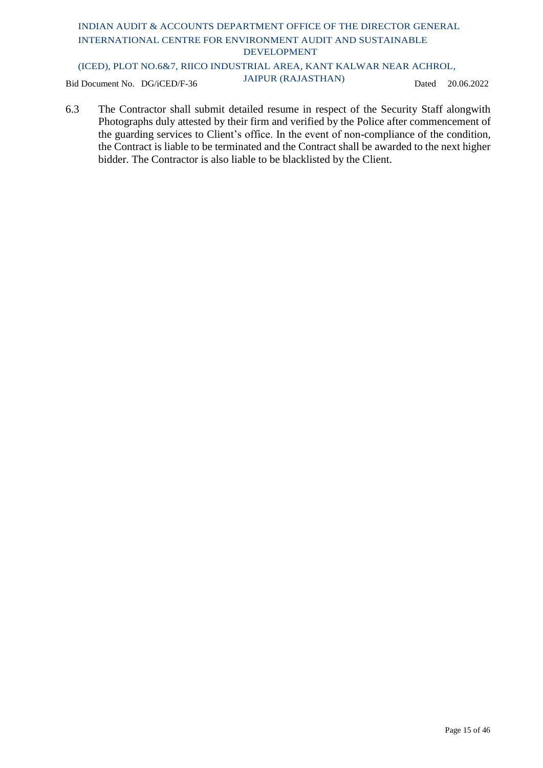(ICED), PLOT NO.6&7, RIICO INDUSTRIAL AREA, KANT KALWAR NEAR ACHROL,

Bid Document No. DG/iCED/F-36 JAIPUR (RAJASTHAN) Dated 20.06.2022

6.3 The Contractor shall submit detailed resume in respect of the Security Staff alongwith Photographs duly attested by their firm and verified by the Police after commencement of the guarding services to Client's office. In the event of non-compliance of the condition, the Contract is liable to be terminated and the Contract shall be awarded to the next higher bidder. The Contractor is also liable to be blacklisted by the Client.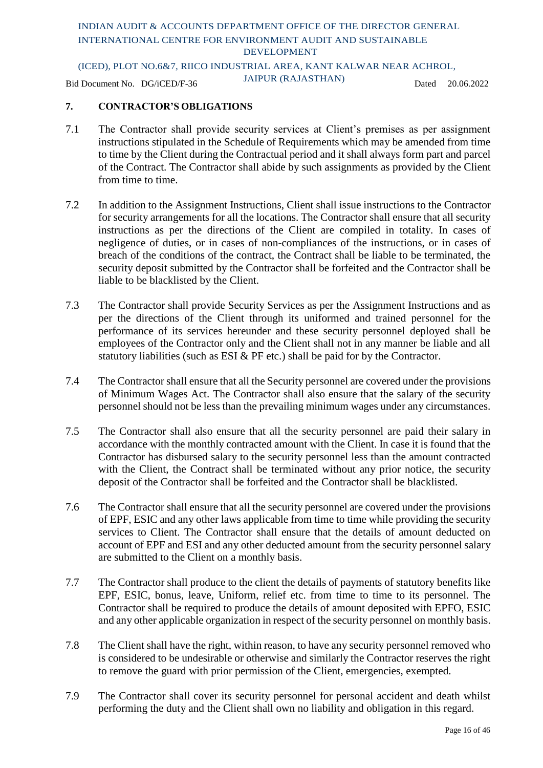(ICED), PLOT NO.6&7, RIICO INDUSTRIAL AREA, KANT KALWAR NEAR ACHROL,

Bid Document No. DG/iCED/F-36 JAIPUR (RAJASTHAN) Dated 20.06.2022

### **7. CONTRACTOR'S OBLIGATIONS**

- 7.1 The Contractor shall provide security services at Client's premises as per assignment instructions stipulated in the Schedule of Requirements which may be amended from time to time by the Client during the Contractual period and it shall always form part and parcel of the Contract. The Contractor shall abide by such assignments as provided by the Client from time to time.
- 7.2 In addition to the Assignment Instructions, Client shall issue instructions to the Contractor for security arrangements for all the locations. The Contractor shall ensure that all security instructions as per the directions of the Client are compiled in totality. In cases of negligence of duties, or in cases of non-compliances of the instructions, or in cases of breach of the conditions of the contract, the Contract shall be liable to be terminated, the security deposit submitted by the Contractor shall be forfeited and the Contractor shall be liable to be blacklisted by the Client.
- 7.3 The Contractor shall provide Security Services as per the Assignment Instructions and as per the directions of the Client through its uniformed and trained personnel for the performance of its services hereunder and these security personnel deployed shall be employees of the Contractor only and the Client shall not in any manner be liable and all statutory liabilities (such as ESI & PF etc.) shall be paid for by the Contractor.
- 7.4 The Contractor shall ensure that all the Security personnel are covered under the provisions of Minimum Wages Act. The Contractor shall also ensure that the salary of the security personnel should not be less than the prevailing minimum wages under any circumstances.
- 7.5 The Contractor shall also ensure that all the security personnel are paid their salary in accordance with the monthly contracted amount with the Client. In case it is found that the Contractor has disbursed salary to the security personnel less than the amount contracted with the Client, the Contract shall be terminated without any prior notice, the security deposit of the Contractor shall be forfeited and the Contractor shall be blacklisted.
- 7.6 The Contractor shall ensure that all the security personnel are covered under the provisions of EPF, ESIC and any other laws applicable from time to time while providing the security services to Client. The Contractor shall ensure that the details of amount deducted on account of EPF and ESI and any other deducted amount from the security personnel salary are submitted to the Client on a monthly basis.
- 7.7 The Contractor shall produce to the client the details of payments of statutory benefits like EPF, ESIC, bonus, leave, Uniform, relief etc. from time to time to its personnel. The Contractor shall be required to produce the details of amount deposited with EPFO, ESIC and any other applicable organization in respect of the security personnel on monthly basis.
- 7.8 The Client shall have the right, within reason, to have any security personnel removed who is considered to be undesirable or otherwise and similarly the Contractor reserves the right to remove the guard with prior permission of the Client, emergencies, exempted.
- 7.9 The Contractor shall cover its security personnel for personal accident and death whilst performing the duty and the Client shall own no liability and obligation in this regard.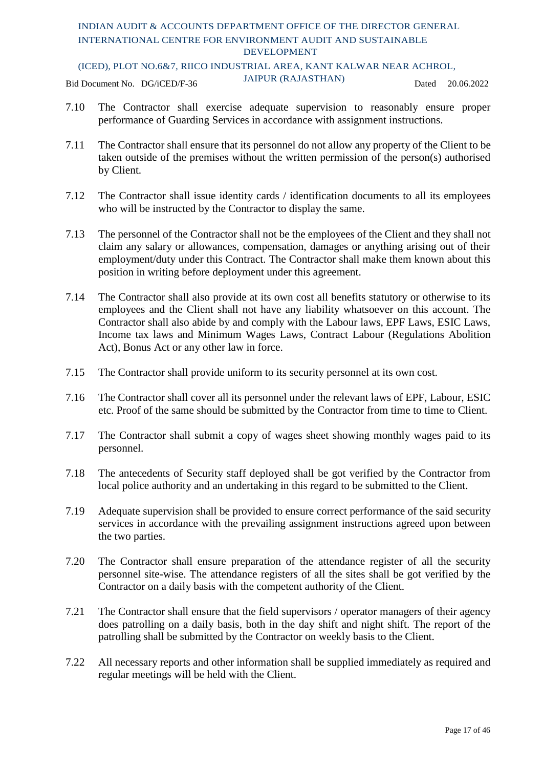(ICED), PLOT NO.6&7, RIICO INDUSTRIAL AREA, KANT KALWAR NEAR ACHROL,

Bid Document No. DG/iCED/F-36 JAIPUR (RAJASTHAN) Dated 20.06.2022

- 7.10 The Contractor shall exercise adequate supervision to reasonably ensure proper performance of Guarding Services in accordance with assignment instructions.
- 7.11 The Contractor shall ensure that its personnel do not allow any property of the Client to be taken outside of the premises without the written permission of the person(s) authorised by Client.
- 7.12 The Contractor shall issue identity cards / identification documents to all its employees who will be instructed by the Contractor to display the same.
- 7.13 The personnel of the Contractor shall not be the employees of the Client and they shall not claim any salary or allowances, compensation, damages or anything arising out of their employment/duty under this Contract. The Contractor shall make them known about this position in writing before deployment under this agreement.
- 7.14 The Contractor shall also provide at its own cost all benefits statutory or otherwise to its employees and the Client shall not have any liability whatsoever on this account. The Contractor shall also abide by and comply with the Labour laws, EPF Laws, ESIC Laws, Income tax laws and Minimum Wages Laws, Contract Labour (Regulations Abolition Act), Bonus Act or any other law in force.
- 7.15 The Contractor shall provide uniform to its security personnel at its own cost.
- 7.16 The Contractor shall cover all its personnel under the relevant laws of EPF, Labour, ESIC etc. Proof of the same should be submitted by the Contractor from time to time to Client.
- 7.17 The Contractor shall submit a copy of wages sheet showing monthly wages paid to its personnel.
- 7.18 The antecedents of Security staff deployed shall be got verified by the Contractor from local police authority and an undertaking in this regard to be submitted to the Client.
- 7.19 Adequate supervision shall be provided to ensure correct performance of the said security services in accordance with the prevailing assignment instructions agreed upon between the two parties.
- 7.20 The Contractor shall ensure preparation of the attendance register of all the security personnel site-wise. The attendance registers of all the sites shall be got verified by the Contractor on a daily basis with the competent authority of the Client.
- 7.21 The Contractor shall ensure that the field supervisors / operator managers of their agency does patrolling on a daily basis, both in the day shift and night shift. The report of the patrolling shall be submitted by the Contractor on weekly basis to the Client.
- 7.22 All necessary reports and other information shall be supplied immediately as required and regular meetings will be held with the Client.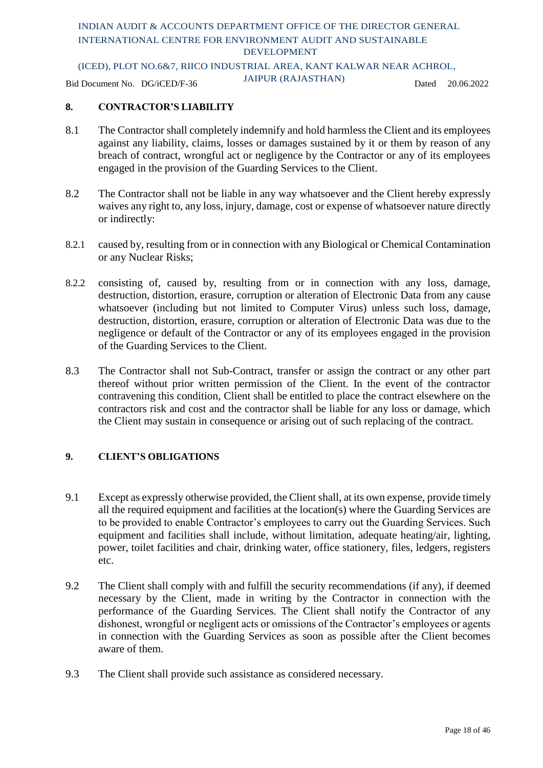### (ICED), PLOT NO.6&7, RIICO INDUSTRIAL AREA, KANT KALWAR NEAR ACHROL,

Bid Document No. DG/iCED/F-36 JAIPUR (RAJASTHAN) Dated 20.06.2022

### **8. CONTRACTOR'S LIABILITY**

- 8.1 The Contractor shall completely indemnify and hold harmless the Client and its employees against any liability, claims, losses or damages sustained by it or them by reason of any breach of contract, wrongful act or negligence by the Contractor or any of its employees engaged in the provision of the Guarding Services to the Client.
- 8.2 The Contractor shall not be liable in any way whatsoever and the Client hereby expressly waives any right to, any loss, injury, damage, cost or expense of whatsoever nature directly or indirectly:
- 8.2.1 caused by, resulting from or in connection with any Biological or Chemical Contamination or any Nuclear Risks;
- 8.2.2 consisting of, caused by, resulting from or in connection with any loss, damage, destruction, distortion, erasure, corruption or alteration of Electronic Data from any cause whatsoever (including but not limited to Computer Virus) unless such loss, damage, destruction, distortion, erasure, corruption or alteration of Electronic Data was due to the negligence or default of the Contractor or any of its employees engaged in the provision of the Guarding Services to the Client.
- 8.3 The Contractor shall not Sub-Contract, transfer or assign the contract or any other part thereof without prior written permission of the Client. In the event of the contractor contravening this condition, Client shall be entitled to place the contract elsewhere on the contractors risk and cost and the contractor shall be liable for any loss or damage, which the Client may sustain in consequence or arising out of such replacing of the contract.

### **9. CLIENT'S OBLIGATIONS**

- 9.1 Except as expressly otherwise provided, the Client shall, at its own expense, provide timely all the required equipment and facilities at the location(s) where the Guarding Services are to be provided to enable Contractor's employees to carry out the Guarding Services. Such equipment and facilities shall include, without limitation, adequate heating/air, lighting, power, toilet facilities and chair, drinking water, office stationery, files, ledgers, registers etc.
- 9.2 The Client shall comply with and fulfill the security recommendations (if any), if deemed necessary by the Client, made in writing by the Contractor in connection with the performance of the Guarding Services. The Client shall notify the Contractor of any dishonest, wrongful or negligent acts or omissions of the Contractor's employees or agents in connection with the Guarding Services as soon as possible after the Client becomes aware of them.
- 9.3 The Client shall provide such assistance as considered necessary.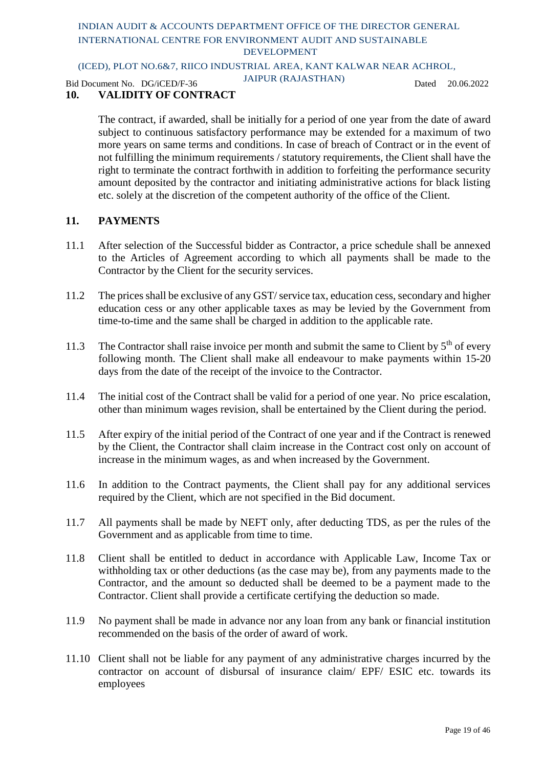### (ICED), PLOT NO.6&7, RIICO INDUSTRIAL AREA, KANT KALWAR NEAR ACHROL,

Bid Document No. DG/iCED/F-36 JAIPUR (RAJASTHAN) Dated 20.06.2022

### **10. VALIDITY OF CONTRACT**

The contract, if awarded, shall be initially for a period of one year from the date of award subject to continuous satisfactory performance may be extended for a maximum of two more years on same terms and conditions. In case of breach of Contract or in the event of not fulfilling the minimum requirements / statutory requirements, the Client shall have the right to terminate the contract forthwith in addition to forfeiting the performance security amount deposited by the contractor and initiating administrative actions for black listing etc. solely at the discretion of the competent authority of the office of the Client.

### **11. PAYMENTS**

- 11.1 After selection of the Successful bidder as Contractor, a price schedule shall be annexed to the Articles of Agreement according to which all payments shall be made to the Contractor by the Client for the security services.
- 11.2 The prices shall be exclusive of any GST/ service tax, education cess, secondary and higher education cess or any other applicable taxes as may be levied by the Government from time-to-time and the same shall be charged in addition to the applicable rate.
- 11.3 The Contractor shall raise invoice per month and submit the same to Client by 5<sup>th</sup> of every following month. The Client shall make all endeavour to make payments within 15-20 days from the date of the receipt of the invoice to the Contractor.
- 11.4 The initial cost of the Contract shall be valid for a period of one year. No price escalation, other than minimum wages revision, shall be entertained by the Client during the period.
- 11.5 After expiry of the initial period of the Contract of one year and if the Contract is renewed by the Client, the Contractor shall claim increase in the Contract cost only on account of increase in the minimum wages, as and when increased by the Government.
- 11.6 In addition to the Contract payments, the Client shall pay for any additional services required by the Client, which are not specified in the Bid document.
- 11.7 All payments shall be made by NEFT only, after deducting TDS, as per the rules of the Government and as applicable from time to time.
- 11.8 Client shall be entitled to deduct in accordance with Applicable Law, Income Tax or withholding tax or other deductions (as the case may be), from any payments made to the Contractor, and the amount so deducted shall be deemed to be a payment made to the Contractor. Client shall provide a certificate certifying the deduction so made.
- 11.9 No payment shall be made in advance nor any loan from any bank or financial institution recommended on the basis of the order of award of work.
- 11.10 Client shall not be liable for any payment of any administrative charges incurred by the contractor on account of disbursal of insurance claim/ EPF/ ESIC etc. towards its employees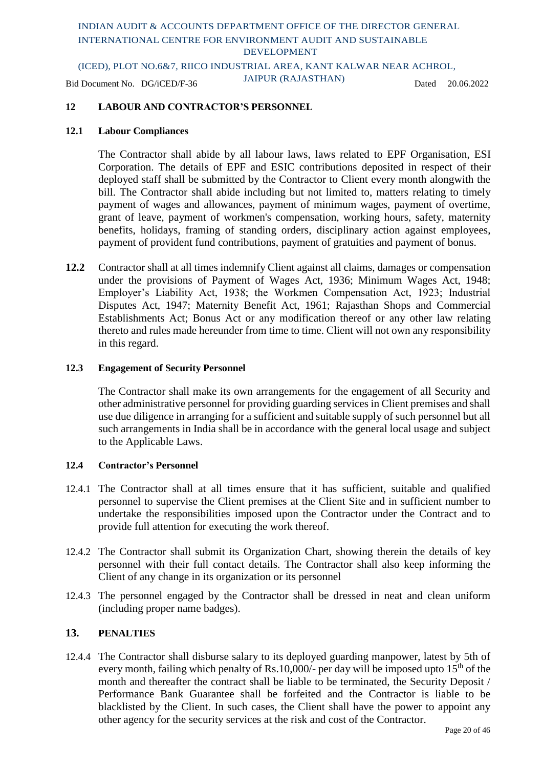(ICED), PLOT NO.6&7, RIICO INDUSTRIAL AREA, KANT KALWAR NEAR ACHROL,

Bid Document No. DG/iCED/F-36 JAIPUR (RAJASTHAN) Dated 20.06.2022

### **12 LABOUR AND CONTRACTOR'S PERSONNEL**

#### **12.1 Labour Compliances**

The Contractor shall abide by all labour laws, laws related to EPF Organisation, ESI Corporation. The details of EPF and ESIC contributions deposited in respect of their deployed staff shall be submitted by the Contractor to Client every month alongwith the bill. The Contractor shall abide including but not limited to, matters relating to timely payment of wages and allowances, payment of minimum wages, payment of overtime, grant of leave, payment of workmen's compensation, working hours, safety, maternity benefits, holidays, framing of standing orders, disciplinary action against employees, payment of provident fund contributions, payment of gratuities and payment of bonus.

**12.2** Contractor shall at all times indemnify Client against all claims, damages or compensation under the provisions of Payment of Wages Act, 1936; Minimum Wages Act, 1948; Employer's Liability Act, 1938; the Workmen Compensation Act, 1923; Industrial Disputes Act, 1947; Maternity Benefit Act, 1961; Rajasthan Shops and Commercial Establishments Act; Bonus Act or any modification thereof or any other law relating thereto and rules made hereunder from time to time. Client will not own any responsibility in this regard.

#### **12.3 Engagement of Security Personnel**

The Contractor shall make its own arrangements for the engagement of all Security and other administrative personnel for providing guarding services in Client premises and shall use due diligence in arranging for a sufficient and suitable supply of such personnel but all such arrangements in India shall be in accordance with the general local usage and subject to the Applicable Laws.

#### **12.4 Contractor's Personnel**

- 12.4.1 The Contractor shall at all times ensure that it has sufficient, suitable and qualified personnel to supervise the Client premises at the Client Site and in sufficient number to undertake the responsibilities imposed upon the Contractor under the Contract and to provide full attention for executing the work thereof.
- 12.4.2 The Contractor shall submit its Organization Chart, showing therein the details of key personnel with their full contact details. The Contractor shall also keep informing the Client of any change in its organization or its personnel
- 12.4.3 The personnel engaged by the Contractor shall be dressed in neat and clean uniform (including proper name badges).

### **13. PENALTIES**

12.4.4 The Contractor shall disburse salary to its deployed guarding manpower, latest by 5th of every month, failing which penalty of Rs.10,000/- per day will be imposed upto  $15<sup>th</sup>$  of the month and thereafter the contract shall be liable to be terminated, the Security Deposit / Performance Bank Guarantee shall be forfeited and the Contractor is liable to be blacklisted by the Client. In such cases, the Client shall have the power to appoint any other agency for the security services at the risk and cost of the Contractor.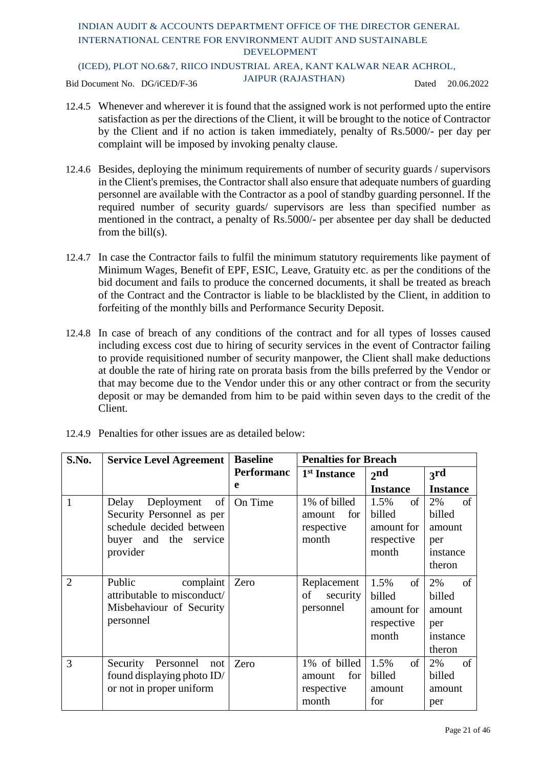(ICED), PLOT NO.6&7, RIICO INDUSTRIAL AREA, KANT KALWAR NEAR ACHROL,

Bid Document No. DG/iCED/F-36 JAIPUR (RAJASTHAN) Dated 20.06.2022

- 12.4.5 Whenever and wherever it is found that the assigned work is not performed upto the entire satisfaction as per the directions of the Client, it will be brought to the notice of Contractor by the Client and if no action is taken immediately, penalty of Rs.5000/- per day per complaint will be imposed by invoking penalty clause.
- 12.4.6 Besides, deploying the minimum requirements of number of security guards / supervisors in the Client's premises, the Contractor shall also ensure that adequate numbers of guarding personnel are available with the Contractor as a pool of standby guarding personnel. If the required number of security guards/ supervisors are less than specified number as mentioned in the contract, a penalty of Rs.5000/- per absentee per day shall be deducted from the bill(s).
- 12.4.7 In case the Contractor fails to fulfil the minimum statutory requirements like payment of Minimum Wages, Benefit of EPF, ESIC, Leave, Gratuity etc. as per the conditions of the bid document and fails to produce the concerned documents, it shall be treated as breach of the Contract and the Contractor is liable to be blacklisted by the Client, in addition to forfeiting of the monthly bills and Performance Security Deposit.
- 12.4.8 In case of breach of any conditions of the contract and for all types of losses caused including excess cost due to hiring of security services in the event of Contractor failing to provide requisitioned number of security manpower, the Client shall make deductions at double the rate of hiring rate on prorata basis from the bills preferred by the Vendor or that may become due to the Vendor under this or any other contract or from the security deposit or may be demanded from him to be paid within seven days to the credit of the Client.

| S.No.          | <b>Service Level Agreement</b>                                                                                             | <b>Baseline</b>   | <b>Penalties for Breach</b>                          |                                                                      |                                                           |
|----------------|----------------------------------------------------------------------------------------------------------------------------|-------------------|------------------------------------------------------|----------------------------------------------------------------------|-----------------------------------------------------------|
|                |                                                                                                                            | <b>Performanc</b> | 1 <sup>st</sup> Instance                             | 2 <sub>nd</sub>                                                      | 3rd                                                       |
|                |                                                                                                                            | e                 |                                                      | <b>Instance</b>                                                      | <b>Instance</b>                                           |
| 1              | of<br>Deployment<br>Delay<br>Security Personnel as per<br>schedule decided between<br>buyer and the<br>service<br>provider | On Time           | 1% of billed<br>for<br>amount<br>respective<br>month | <sub>of</sub><br>1.5%<br>billed<br>amount for<br>respective<br>month | 2%<br>of<br>billed<br>amount<br>per<br>instance<br>theron |
| $\overline{2}$ | Public<br>complaint<br>attributable to misconduct/<br>Misbehaviour of Security<br>personnel                                | Zero              | Replacement<br>security<br>of<br>personnel           | of<br>1.5%<br>billed<br>amount for<br>respective<br>month            | 2%<br>of<br>billed<br>amount<br>per<br>instance<br>theron |
| 3              | Security Personnel<br>not<br>found displaying photo ID/<br>or not in proper uniform                                        | Zero              | 1% of billed<br>for<br>amount<br>respective<br>month | 1.5%<br>of<br>billed<br>amount<br>for                                | 2%<br>of<br>billed<br>amount<br>per                       |

12.4.9 Penalties for other issues are as detailed below: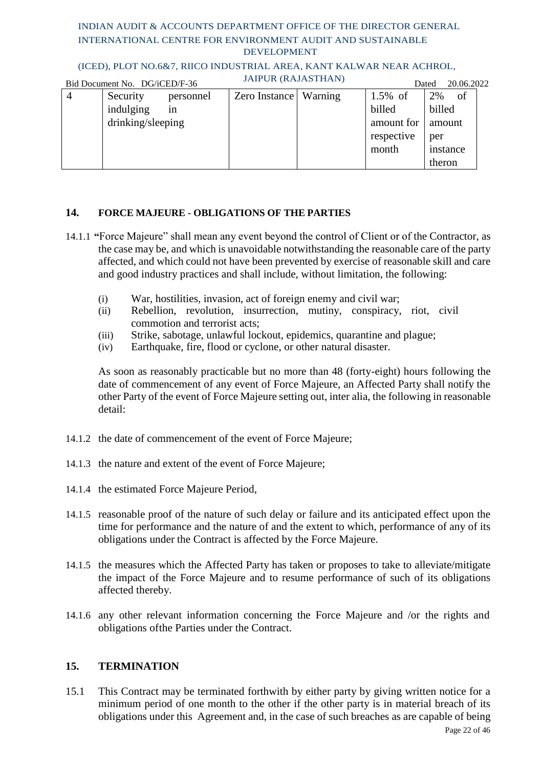### (ICED), PLOT NO.6&7, RIICO INDUSTRIAL AREA, KANT KALWAR NEAR ACHROL,

|                | Bid Document No. DG/iCED/F-36 |           | <b>JAIPUR (RAJASTHAN)</b> |         |            | 20.06.2022<br>Dated |  |
|----------------|-------------------------------|-----------|---------------------------|---------|------------|---------------------|--|
| $\overline{4}$ | Security                      | personnel | Zero Instance             | Warning | $1.5\%$ of | 2%<br>of            |  |
|                | indulging                     | 1n        |                           |         | billed     | billed              |  |
|                | drinking/sleeping             |           |                           |         | amount for | amount              |  |
|                |                               |           |                           |         | respective | per                 |  |
|                |                               |           |                           |         | month      | instance            |  |
|                |                               |           |                           |         |            | theron              |  |

### **14. FORCE MAJEURE - OBLIGATIONS OF THE PARTIES**

- 14.1.1 **"**Force Majeure" shall mean any event beyond the control of Client or of the Contractor, as the case may be, and which is unavoidable notwithstanding the reasonable care of the party affected, and which could not have been prevented by exercise of reasonable skill and care and good industry practices and shall include, without limitation, the following:
	- (i) War, hostilities, invasion, act of foreign enemy and civil war;
	- (ii) Rebellion, revolution, insurrection, mutiny, conspiracy, riot, civil commotion and terrorist acts;
	- (iii) Strike, sabotage, unlawful lockout, epidemics, quarantine and plague;<br>(iv) Earthquake, fire, flood or cyclone, or other natural disaster.
	- Earthquake, fire, flood or cyclone, or other natural disaster.

As soon as reasonably practicable but no more than 48 (forty-eight) hours following the date of commencement of any event of Force Majeure, an Affected Party shall notify the other Party of the event of Force Majeure setting out, inter alia, the following in reasonable detail:

- 14.1.2 the date of commencement of the event of Force Majeure;
- 14.1.3 the nature and extent of the event of Force Majeure;
- 14.1.4 the estimated Force Majeure Period,
- 14.1.5 reasonable proof of the nature of such delay or failure and its anticipated effect upon the time for performance and the nature of and the extent to which, performance of any of its obligations under the Contract is affected by the Force Majeure.
- 14.1.5 the measures which the Affected Party has taken or proposes to take to alleviate/mitigate the impact of the Force Majeure and to resume performance of such of its obligations affected thereby.
- 14.1.6 any other relevant information concerning the Force Majeure and /or the rights and obligations ofthe Parties under the Contract.

### **15. TERMINATION**

15.1 This Contract may be terminated forthwith by either party by giving written notice for a minimum period of one month to the other if the other party is in material breach of its obligations under this Agreement and, in the case of such breaches as are capable of being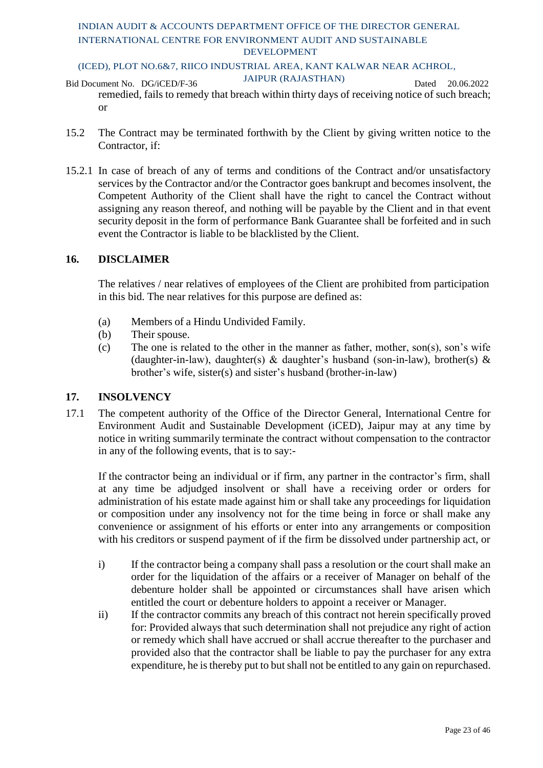### (ICED), PLOT NO.6&7, RIICO INDUSTRIAL AREA, KANT KALWAR NEAR ACHROL,

- Bid Document No. DG/iCED/F-36 JAIPUR (RAJASTHAN) Dated 20.06.2022 remedied, fails to remedy that breach within thirty days of receiving notice of such breach; or
- 15.2 The Contract may be terminated forthwith by the Client by giving written notice to the Contractor, if:
- 15.2.1 In case of breach of any of terms and conditions of the Contract and/or unsatisfactory services by the Contractor and/or the Contractor goes bankrupt and becomes insolvent, the Competent Authority of the Client shall have the right to cancel the Contract without assigning any reason thereof, and nothing will be payable by the Client and in that event security deposit in the form of performance Bank Guarantee shall be forfeited and in such event the Contractor is liable to be blacklisted by the Client.

### **16. DISCLAIMER**

The relatives / near relatives of employees of the Client are prohibited from participation in this bid. The near relatives for this purpose are defined as:

- (a) Members of a Hindu Undivided Family.
- (b) Their spouse.
- (c) The one is related to the other in the manner as father, mother, son(s), son's wife (daughter-in-law), daughter(s) & daughter's husband (son-in-law), brother(s) & brother's wife, sister(s) and sister's husband (brother-in-law)

### **17. INSOLVENCY**

17.1 The competent authority of the Office of the Director General, International Centre for Environment Audit and Sustainable Development (iCED), Jaipur may at any time by notice in writing summarily terminate the contract without compensation to the contractor in any of the following events, that is to say:-

If the contractor being an individual or if firm, any partner in the contractor's firm, shall at any time be adjudged insolvent or shall have a receiving order or orders for administration of his estate made against him or shall take any proceedings for liquidation or composition under any insolvency not for the time being in force or shall make any convenience or assignment of his efforts or enter into any arrangements or composition with his creditors or suspend payment of if the firm be dissolved under partnership act, or

- i) If the contractor being a company shall pass a resolution or the court shall make an order for the liquidation of the affairs or a receiver of Manager on behalf of the debenture holder shall be appointed or circumstances shall have arisen which entitled the court or debenture holders to appoint a receiver or Manager.
- ii) If the contractor commits any breach of this contract not herein specifically proved for: Provided always that such determination shall not prejudice any right of action or remedy which shall have accrued or shall accrue thereafter to the purchaser and provided also that the contractor shall be liable to pay the purchaser for any extra expenditure, he is thereby put to but shall not be entitled to any gain on repurchased.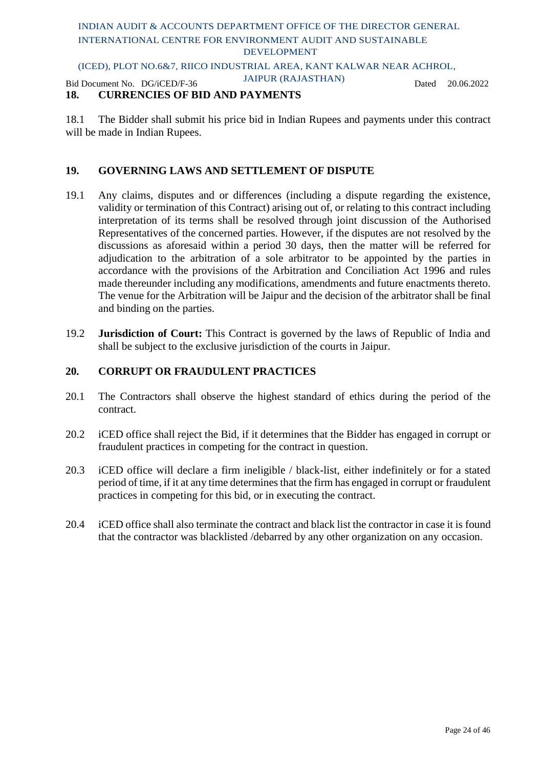### (ICED), PLOT NO.6&7, RIICO INDUSTRIAL AREA, KANT KALWAR NEAR ACHROL,

Bid Document No. DG/iCED/F-36 JAIPUR (RAJASTHAN) Dated 20.06.2022

### **18. CURRENCIES OF BID AND PAYMENTS**

18.1 The Bidder shall submit his price bid in Indian Rupees and payments under this contract will be made in Indian Rupees.

### **19. GOVERNING LAWS AND SETTLEMENT OF DISPUTE**

- 19.1 Any claims, disputes and or differences (including a dispute regarding the existence, validity or termination of this Contract) arising out of, or relating to this contract including interpretation of its terms shall be resolved through joint discussion of the Authorised Representatives of the concerned parties. However, if the disputes are not resolved by the discussions as aforesaid within a period 30 days, then the matter will be referred for adjudication to the arbitration of a sole arbitrator to be appointed by the parties in accordance with the provisions of the Arbitration and Conciliation Act 1996 and rules made thereunder including any modifications, amendments and future enactments thereto. The venue for the Arbitration will be Jaipur and the decision of the arbitrator shall be final and binding on the parties.
- 19.2 **Jurisdiction of Court:** This Contract is governed by the laws of Republic of India and shall be subject to the exclusive jurisdiction of the courts in Jaipur.

### **20. CORRUPT OR FRAUDULENT PRACTICES**

- 20.1 The Contractors shall observe the highest standard of ethics during the period of the contract.
- 20.2 iCED office shall reject the Bid, if it determines that the Bidder has engaged in corrupt or fraudulent practices in competing for the contract in question.
- 20.3 iCED office will declare a firm ineligible / black-list, either indefinitely or for a stated period of time, if it at any time determines that the firm has engaged in corrupt or fraudulent practices in competing for this bid, or in executing the contract.
- 20.4 iCED office shall also terminate the contract and black list the contractor in case it is found that the contractor was blacklisted /debarred by any other organization on any occasion.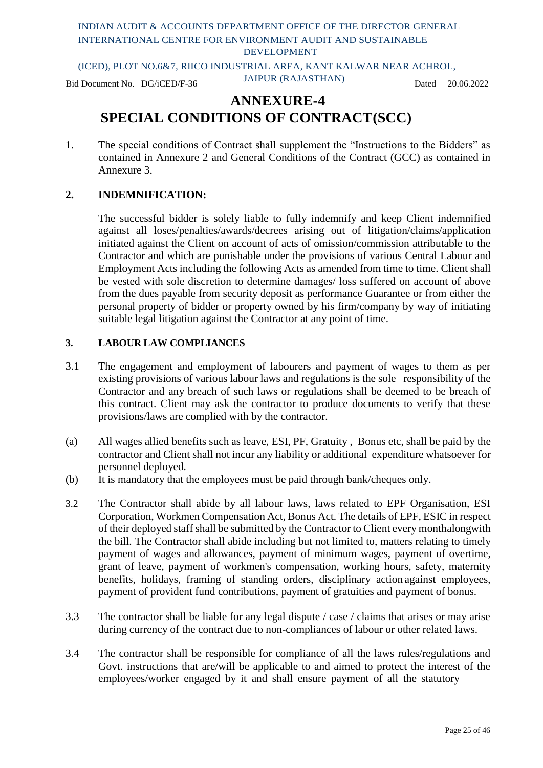(ICED), PLOT NO.6&7, RIICO INDUSTRIAL AREA, KANT KALWAR NEAR ACHROL,

Bid Document No. DG/iCED/F-36 JAIPUR (RAJASTHAN) Dated 20.06.2022

### **ANNEXURE-4 SPECIAL CONDITIONS OF CONTRACT(SCC)**

1. The special conditions of Contract shall supplement the "Instructions to the Bidders" as contained in Annexure 2 and General Conditions of the Contract (GCC) as contained in Annexure 3.

### **2. INDEMNIFICATION:**

The successful bidder is solely liable to fully indemnify and keep Client indemnified against all loses/penalties/awards/decrees arising out of litigation/claims/application initiated against the Client on account of acts of omission/commission attributable to the Contractor and which are punishable under the provisions of various Central Labour and Employment Acts including the following Acts as amended from time to time. Client shall be vested with sole discretion to determine damages/ loss suffered on account of above from the dues payable from security deposit as performance Guarantee or from either the personal property of bidder or property owned by his firm/company by way of initiating suitable legal litigation against the Contractor at any point of time.

### **3. LABOUR LAW COMPLIANCES**

- 3.1 The engagement and employment of labourers and payment of wages to them as per existing provisions of various labour laws and regulations is the sole responsibility of the Contractor and any breach of such laws or regulations shall be deemed to be breach of this contract. Client may ask the contractor to produce documents to verify that these provisions/laws are complied with by the contractor.
- (a) All wages allied benefits such as leave, ESI, PF, Gratuity , Bonus etc, shall be paid by the contractor and Client shall not incur any liability or additional expenditure whatsoever for personnel deployed.
- (b) It is mandatory that the employees must be paid through bank/cheques only.
- 3.2 The Contractor shall abide by all labour laws, laws related to EPF Organisation, ESI Corporation, Workmen Compensation Act, Bonus Act. The details of EPF, ESIC in respect of their deployed staff shall be submitted by the Contractor to Client every monthalongwith the bill. The Contractor shall abide including but not limited to, matters relating to timely payment of wages and allowances, payment of minimum wages, payment of overtime, grant of leave, payment of workmen's compensation, working hours, safety, maternity benefits, holidays, framing of standing orders, disciplinary action against employees, payment of provident fund contributions, payment of gratuities and payment of bonus.
- 3.3 The contractor shall be liable for any legal dispute / case / claims that arises or may arise during currency of the contract due to non-compliances of labour or other related laws.
- 3.4 The contractor shall be responsible for compliance of all the laws rules/regulations and Govt. instructions that are/will be applicable to and aimed to protect the interest of the employees/worker engaged by it and shall ensure payment of all the statutory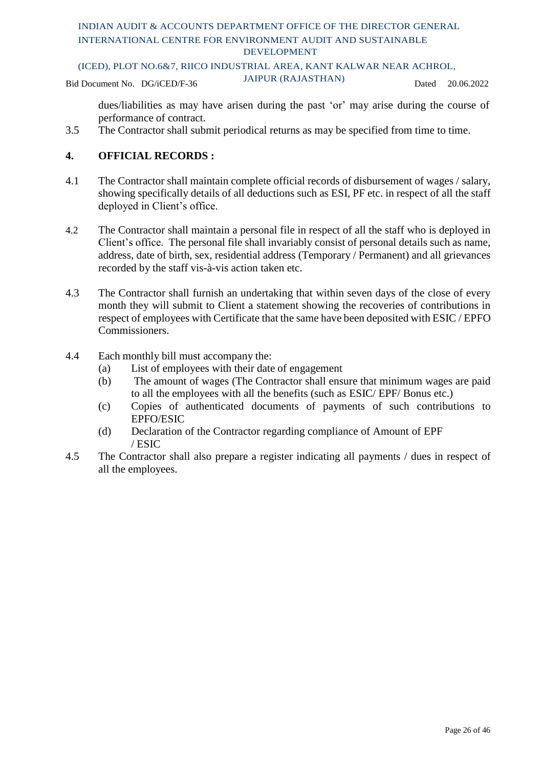(ICED), PLOT NO.6&7, RIICO INDUSTRIAL AREA, KANT KALWAR NEAR ACHROL,

Bid Document No. DG/iCED/F-36 JAIPUR (RAJASTHAN) Dated 20.06.2022

dues/liabilities as may have arisen during the past 'or' may arise during the course of performance of contract.

3.5 The Contractor shall submit periodical returns as may be specified from time to time.

### **4. OFFICIAL RECORDS :**

- 4.1 The Contractor shall maintain complete official records of disbursement of wages / salary, showing specifically details of all deductions such as ESI, PF etc. in respect of all the staff deployed in Client's office.
- 4.2 The Contractor shall maintain a personal file in respect of all the staff who is deployed in Client's office. The personal file shall invariably consist of personal details such as name, address, date of birth, sex, residential address (Temporary / Permanent) and all grievances recorded by the staff vis-à-vis action taken etc.
- 4.3 The Contractor shall furnish an undertaking that within seven days of the close of every month they will submit to Client a statement showing the recoveries of contributions in respect of employees with Certificate that the same have been deposited with ESIC / EPFO Commissioners.
- 4.4 Each monthly bill must accompany the:
	- (a) List of employees with their date of engagement
	- (b) The amount of wages (The Contractor shall ensure that minimum wages are paid to all the employees with all the benefits (such as ESIC/ EPF/ Bonus etc.)
	- (c) Copies of authenticated documents of payments of such contributions to EPFO/ESIC
	- (d) Declaration of the Contractor regarding compliance of Amount of EPF / ESIC
- 4.5 The Contractor shall also prepare a register indicating all payments / dues in respect of all the employees.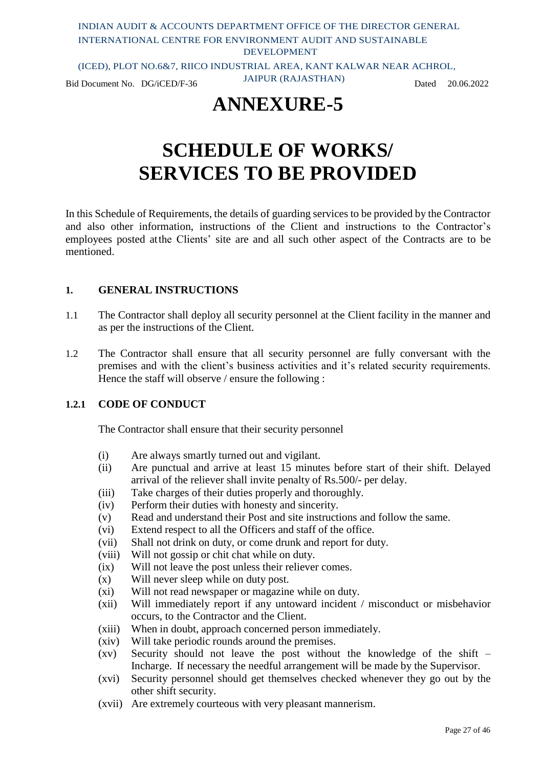### INDIAN AUDIT & ACCOUNTS DEPARTMENT OFFICE OF THE DIRECTOR GENERAL INTERNATIONAL CENTRE FOR ENVIRONMENT AUDIT AND SUSTAINABLE DEVELOPMENT (ICED), PLOT NO.6&7, RIICO INDUSTRIAL AREA, KANT KALWAR NEAR ACHROL,

Bid Document No. DG/iCED/F-36 JAIPUR (RAJASTHAN) Dated 20.06.2022

## **ANNEXURE-5**

# **SCHEDULE OF WORKS/ SERVICES TO BE PROVIDED**

In this Schedule of Requirements, the details of guarding services to be provided by the Contractor and also other information, instructions of the Client and instructions to the Contractor's employees posted atthe Clients' site are and all such other aspect of the Contracts are to be mentioned.

### **1. GENERAL INSTRUCTIONS**

- 1.1 The Contractor shall deploy all security personnel at the Client facility in the manner and as per the instructions of the Client.
- 1.2 The Contractor shall ensure that all security personnel are fully conversant with the premises and with the client's business activities and it's related security requirements. Hence the staff will observe / ensure the following :

### **1.2.1 CODE OF CONDUCT**

The Contractor shall ensure that their security personnel

- (i) Are always smartly turned out and vigilant.
- (ii) Are punctual and arrive at least 15 minutes before start of their shift. Delayed arrival of the reliever shall invite penalty of Rs.500/- per delay.
- (iii) Take charges of their duties properly and thoroughly.
- (iv) Perform their duties with honesty and sincerity.
- (v) Read and understand their Post and site instructions and follow the same.
- (vi) Extend respect to all the Officers and staff of the office.
- (vii) Shall not drink on duty, or come drunk and report for duty.
- (viii) Will not gossip or chit chat while on duty.
- (ix) Will not leave the post unless their reliever comes.
- (x) Will never sleep while on duty post.
- (xi) Will not read newspaper or magazine while on duty.
- (xii) Will immediately report if any untoward incident / misconduct or misbehavior occurs, to the Contractor and the Client.
- (xiii) When in doubt, approach concerned person immediately.
- (xiv) Will take periodic rounds around the premises.
- (xv) Security should not leave the post without the knowledge of the shift Incharge. If necessary the needful arrangement will be made by the Supervisor.
- (xvi) Security personnel should get themselves checked whenever they go out by the other shift security.
- (xvii) Are extremely courteous with very pleasant mannerism.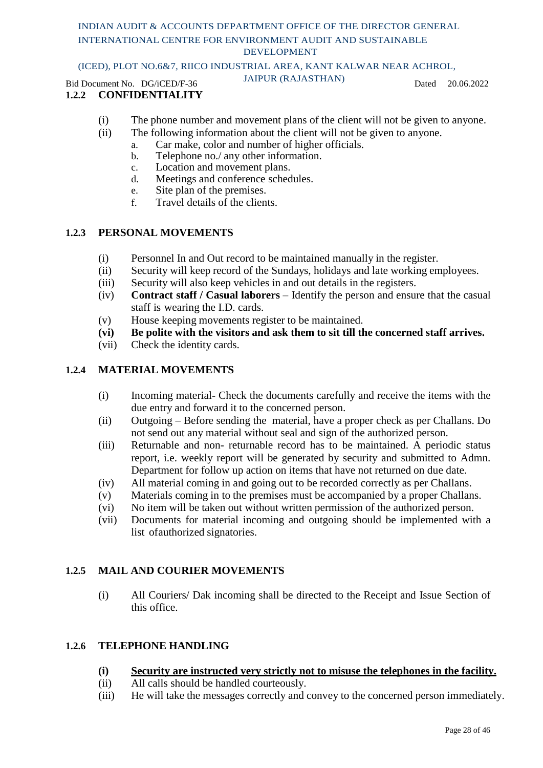### (ICED), PLOT NO.6&7, RIICO INDUSTRIAL AREA, KANT KALWAR NEAR ACHROL,

Bid Document No. DG/iCED/F-36 JAIPUR (RAJASTHAN) Dated 20.06.2022

### **1.2.2 CONFIDENTIALITY**

- (i) The phone number and movement plans of the client will not be given to anyone.
- (ii) The following information about the client will not be given to anyone.
	- a. Car make, color and number of higher officials.
	- b. Telephone no./ any other information.
	- c. Location and movement plans.
	- d. Meetings and conference schedules.
	- e. Site plan of the premises.
	- f. Travel details of the clients.

### **1.2.3 PERSONAL MOVEMENTS**

- (i) Personnel In and Out record to be maintained manually in the register.
- (ii) Security will keep record of the Sundays, holidays and late working employees.
- (iii) Security will also keep vehicles in and out details in the registers.
- (iv) **Contract staff / Casual laborers** Identify the person and ensure that the casual staff is wearing the I.D. cards.
- (v) House keeping movements register to be maintained.
- **(vi) Be polite with the visitors and ask them to sit till the concerned staff arrives.**
- (vii) Check the identity cards.

### **1.2.4 MATERIAL MOVEMENTS**

- (i) Incoming material- Check the documents carefully and receive the items with the due entry and forward it to the concerned person.
- (ii) Outgoing Before sending the material, have a proper check as per Challans. Do not send out any material without seal and sign of the authorized person.
- (iii) Returnable and non- returnable record has to be maintained. A periodic status report, i.e. weekly report will be generated by security and submitted to Admn. Department for follow up action on items that have not returned on due date.
- (iv) All material coming in and going out to be recorded correctly as per Challans.
- (v) Materials coming in to the premises must be accompanied by a proper Challans.
- (vi) No item will be taken out without written permission of the authorized person.
- (vii) Documents for material incoming and outgoing should be implemented with a list ofauthorized signatories.

### **1.2.5 MAIL AND COURIER MOVEMENTS**

(i) All Couriers/ Dak incoming shall be directed to the Receipt and Issue Section of this office.

### **1.2.6 TELEPHONE HANDLING**

#### **(i) Security are instructed very strictly not to misuse the telephones in the facility.**

- (ii) All calls should be handled courteously.
- (iii) He will take the messages correctly and convey to the concerned person immediately.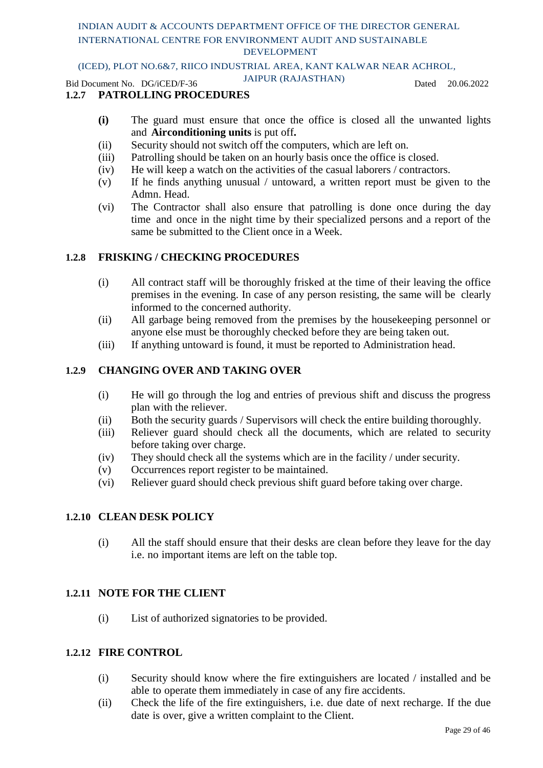### (ICED), PLOT NO.6&7, RIICO INDUSTRIAL AREA, KANT KALWAR NEAR ACHROL,

Bid Document No. DG/iCED/F-36 JAIPUR (RAJASTHAN) Dated 20.06.2022

### **1.2.7 PATROLLING PROCEDURES**

- **(i)** The guard must ensure that once the office is closed all the unwanted lights and **Airconditioning units** is put off**.**
- (ii) Security should not switch off the computers, which are left on.
- (iii) Patrolling should be taken on an hourly basis once the office is closed.
- (iv) He will keep a watch on the activities of the casual laborers / contractors.
- (v) If he finds anything unusual / untoward, a written report must be given to the Admn. Head.
- (vi) The Contractor shall also ensure that patrolling is done once during the day time and once in the night time by their specialized persons and a report of the same be submitted to the Client once in a Week.

### **1.2.8 FRISKING / CHECKING PROCEDURES**

- (i) All contract staff will be thoroughly frisked at the time of their leaving the office premises in the evening. In case of any person resisting, the same will be clearly informed to the concerned authority.
- (ii) All garbage being removed from the premises by the housekeeping personnel or anyone else must be thoroughly checked before they are being taken out.
- (iii) If anything untoward is found, it must be reported to Administration head.

### **1.2.9 CHANGING OVER AND TAKING OVER**

- (i) He will go through the log and entries of previous shift and discuss the progress plan with the reliever.
- (ii) Both the security guards / Supervisors will check the entire building thoroughly.
- (iii) Reliever guard should check all the documents, which are related to security before taking over charge.
- (iv) They should check all the systems which are in the facility / under security.
- (v) Occurrences report register to be maintained.
- (vi) Reliever guard should check previous shift guard before taking over charge.

### **1.2.10 CLEAN DESK POLICY**

(i) All the staff should ensure that their desks are clean before they leave for the day i.e. no important items are left on the table top.

### **1.2.11 NOTE FOR THE CLIENT**

(i) List of authorized signatories to be provided.

### **1.2.12 FIRE CONTROL**

- (i) Security should know where the fire extinguishers are located / installed and be able to operate them immediately in case of any fire accidents.
- (ii) Check the life of the fire extinguishers, i.e. due date of next recharge. If the due date is over, give a written complaint to the Client.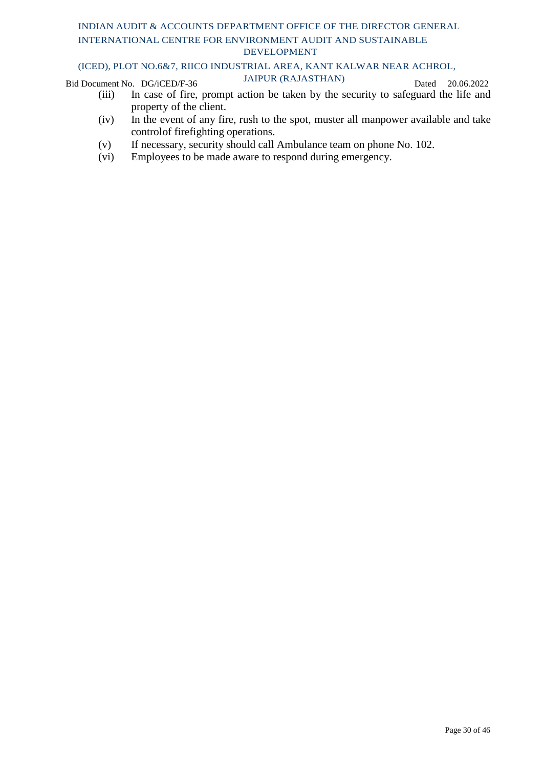### (ICED), PLOT NO.6&7, RIICO INDUSTRIAL AREA, KANT KALWAR NEAR ACHROL,

Bid Document No. DG/iCED/F-36 JAIPUR (RAJASTHAN) Dated 20.06.2022

- (iii) In case of fire, prompt action be taken by the security to safeguard the life and property of the client.
- (iv) In the event of any fire, rush to the spot, muster all manpower available and take controlof firefighting operations.
- (v) If necessary, security should call Ambulance team on phone No. 102.
- (vi) Employees to be made aware to respond during emergency.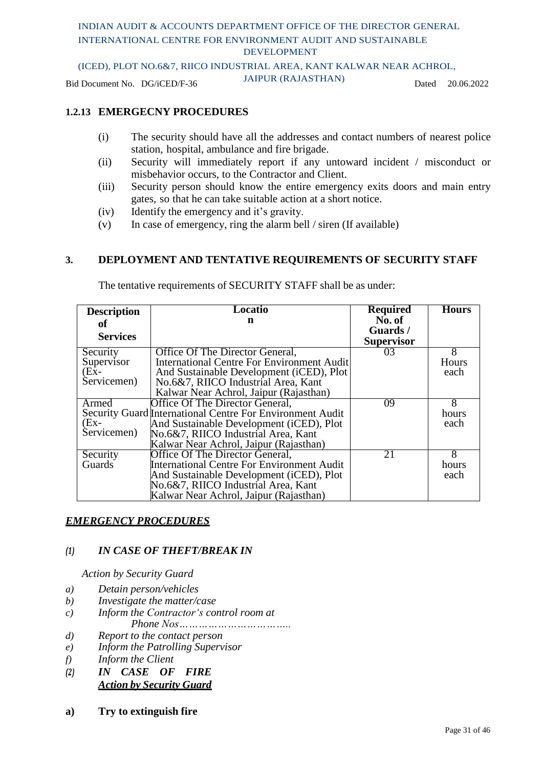(ICED), PLOT NO.6&7, RIICO INDUSTRIAL AREA, KANT KALWAR NEAR ACHROL,

Bid Document No. DG/iCED/F-36 JAIPUR (RAJASTHAN) Dated 20.06.2022

### **1.2.13 EMERGECNY PROCEDURES**

- (i) The security should have all the addresses and contact numbers of nearest police station, hospital, ambulance and fire brigade.
- (ii) Security will immediately report if any untoward incident / misconduct or misbehavior occurs, to the Contractor and Client.
- (iii) Security person should know the entire emergency exits doors and main entry gates, so that he can take suitable action at a short notice.
- (iv) Identify the emergency and it's gravity.
- (v) In case of emergency, ring the alarm bell / siren (If available)

### **3. DEPLOYMENT AND TENTATIVE REQUIREMENTS OF SECURITY STAFF**

| <b>Description</b> | Locatio                                                   | <b>Required</b>               | <b>Hours</b> |
|--------------------|-----------------------------------------------------------|-------------------------------|--------------|
| оf                 | n                                                         | $\overline{\text{No}}$ . of   |              |
| <b>Services</b>    |                                                           | Guards /<br><b>Supervisor</b> |              |
| Security           | Office Of The Director General,                           | 03                            | 8            |
| Supervisor         | <b>International Centre For Environment Audit</b>         |                               | Hours        |
| $(EX -$            | And Sustainable Development ( <i>iCED</i> ), Plot         |                               | each         |
| Servicemen)        | No.6&7, RIICO Industrial Area, Kant                       |                               |              |
|                    | Kalwar Near Achrol, Jaipur (Rajasthan)                    |                               |              |
| Armed              | Office Of The Director General,                           | 09                            | 8            |
|                    | Security Guard International Centre For Environment Audit |                               | hours        |
| $(EX -$            | And Sustainable Development (iCED), Plot                  |                               | each         |
| Servicemen)        | No.6&7, RIICO Industrial Area, Kant                       |                               |              |
|                    | Kalwar Near Achrol, Jaipur (Rajasthan)                    |                               |              |
| Security           | Office Of The Director General,                           | 21                            | 8            |
| <b>Guards</b>      | <b>International Centre For Environment Audit</b>         |                               | hours        |
|                    | And Sustainable Development ( <i>iCED</i> ), Plot         |                               | each         |
|                    | No.6&7, RIICO Industrial Area, Kant                       |                               |              |
|                    | Kalwar Near Achrol, Jaipur (Rajasthan)                    |                               |              |

The tentative requirements of SECURITY STAFF shall be as under:

### *EMERGENCY PROCEDURES*

### *(1) IN CASE OF THEFT/BREAK IN*

*Action by Security Guard*

- *a) Detain person/vehicles*
- *b) Investigate the matter/case*
- *c) Inform the Contractor's control room at Phone Nos……………………………..*
- *d) Report to the contact person*
- *e) Inform the Patrolling Supervisor*
- *f) Inform the Client*
- *(2) IN CASE OF FIRE Action by Security Guard*
- **a) Try to extinguish fire**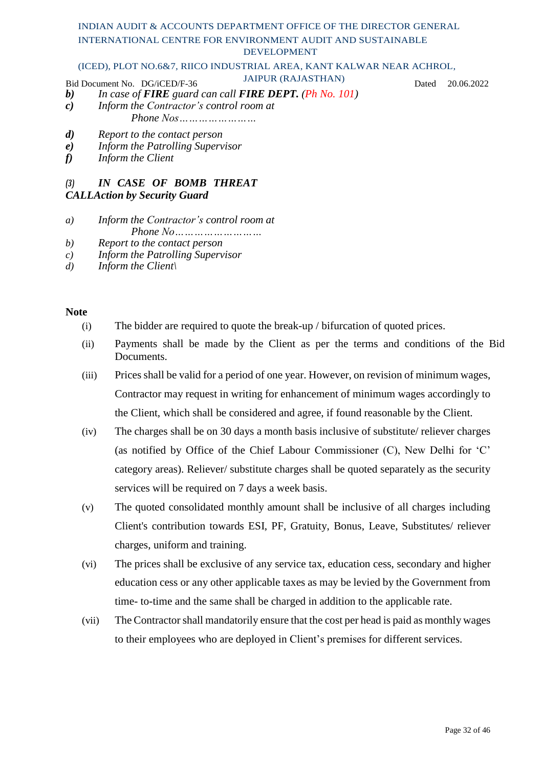#### (ICED), PLOT NO.6&7, RIICO INDUSTRIAL AREA, KANT KALWAR NEAR ACHROL,

Bid Document No. DG/iCED/F-36 JAIPUR (RAJASTHAN) Dated 20.06.2022

- *b) In case of FIRE guard can call FIRE DEPT. (Ph No. 101)*
- *c) Inform the Contractor's control room at Phone Nos……………………*
- *d) Report to the contact person*
- *e) Inform the Patrolling Supervisor*
- *f) Inform the Client*

### *(3) IN CASE OF BOMB THREAT*

### *CALLAction by Security Guard*

- *a) Inform the Contractor's control room at Phone No………………………*
- *b) Report to the contact person*
- *c) Inform the Patrolling Supervisor*
- *d) Inform the Client\*

### **Note**

- (i) The bidder are required to quote the break-up / bifurcation of quoted prices.
- (ii) Payments shall be made by the Client as per the terms and conditions of the Bid Documents.
- (iii) Prices shall be valid for a period of one year. However, on revision of minimum wages, Contractor may request in writing for enhancement of minimum wages accordingly to the Client, which shall be considered and agree, if found reasonable by the Client.
- (iv) The charges shall be on 30 days a month basis inclusive of substitute/ reliever charges (as notified by Office of the Chief Labour Commissioner (C), New Delhi for 'C' category areas). Reliever/ substitute charges shall be quoted separately as the security services will be required on 7 days a week basis.
- (v) The quoted consolidated monthly amount shall be inclusive of all charges including Client's contribution towards ESI, PF, Gratuity, Bonus, Leave, Substitutes/ reliever charges, uniform and training.
- (vi) The prices shall be exclusive of any service tax, education cess, secondary and higher education cess or any other applicable taxes as may be levied by the Government from time- to-time and the same shall be charged in addition to the applicable rate.
- (vii) The Contractor shall mandatorily ensure that the cost per head is paid as monthly wages to their employees who are deployed in Client's premises for different services.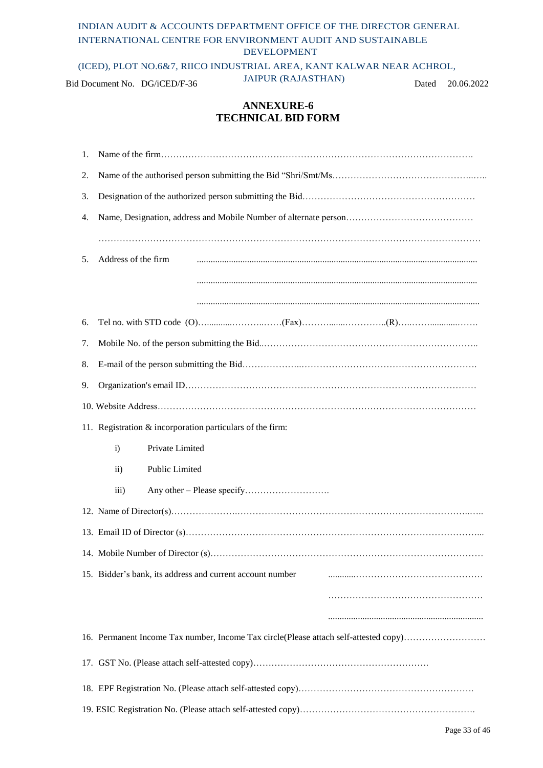(ICED), PLOT NO.6&7, RIICO INDUSTRIAL AREA, KANT KALWAR NEAR ACHROL,

Bid Document No. DG/iCED/F-36 JAIPUR (RAJASTHAN) Dated 20.06.2022

### **ANNEXURE-6 TECHNICAL BID FORM**

| 1. |                                                                                      |
|----|--------------------------------------------------------------------------------------|
| 2. |                                                                                      |
| 3. |                                                                                      |
| 4. |                                                                                      |
|    |                                                                                      |
| 5. | Address of the firm                                                                  |
|    |                                                                                      |
|    |                                                                                      |
| 6. |                                                                                      |
| 7. |                                                                                      |
| 8. |                                                                                      |
| 9. |                                                                                      |
|    |                                                                                      |
|    | 11. Registration & incorporation particulars of the firm:                            |
|    | Private Limited<br>$\mathbf{i}$                                                      |
|    | Public Limited<br>$\rm ii)$                                                          |
|    | $\overline{iii}$                                                                     |
|    |                                                                                      |
|    |                                                                                      |
|    |                                                                                      |
|    | 15. Bidder's bank, its address and current account number                            |
|    |                                                                                      |
|    |                                                                                      |
|    | 16. Permanent Income Tax number, Income Tax circle(Please attach self-attested copy) |
|    |                                                                                      |
|    |                                                                                      |
|    |                                                                                      |
|    |                                                                                      |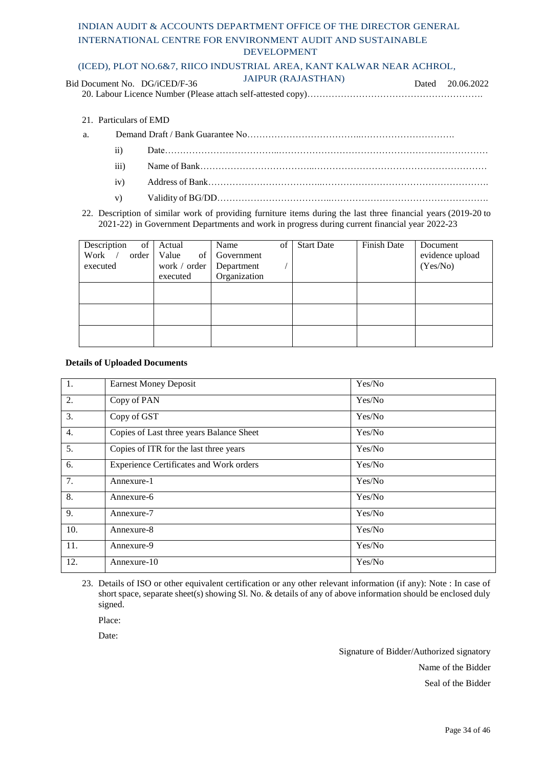#### (ICED), PLOT NO.6&7, RIICO INDUSTRIAL AREA, KANT KALWAR NEAR ACHROL,

| Bid Document No. DG/iCED/F-36 | <b>JAIPUR (RAJASTHAN)</b> | Dated 20.06.2022 |
|-------------------------------|---------------------------|------------------|
|                               |                           |                  |

- 21. Particulars of EMD
- a. Demand Draft / Bank Guarantee No………………………………..………………………….
	- ii) Date………………………………..……………………………………………………………
	- iii) Name of Bank………………………………..…………………………………………………
	- iv) Address of Bank………………………………..……………………………………………….
	- v) Validity of BG/DD………………………………..…………………………………………….
- 22. Description of similar work of providing furniture items during the last three financial years (2019-20 to 2021-22) in Government Departments and work in progress during current financial year 2022-23

| Description<br>of<br>Work<br>order<br>executed | Actual<br>Value<br>of<br>work / order<br>executed | Name<br>Government<br>Department<br>Organization | of | <b>Start Date</b> | Finish Date | Document<br>evidence upload<br>(Yes/No) |
|------------------------------------------------|---------------------------------------------------|--------------------------------------------------|----|-------------------|-------------|-----------------------------------------|
|                                                |                                                   |                                                  |    |                   |             |                                         |
|                                                |                                                   |                                                  |    |                   |             |                                         |
|                                                |                                                   |                                                  |    |                   |             |                                         |

#### **Details of Uploaded Documents**

| $\overline{1}$ . | <b>Earnest Money Deposit</b>                   | Yes/No |
|------------------|------------------------------------------------|--------|
| 2.               | Copy of PAN                                    | Yes/No |
| 3.               | Copy of GST                                    | Yes/No |
| 4.               | Copies of Last three years Balance Sheet       | Yes/No |
| 5.               | Copies of ITR for the last three years         | Yes/No |
| 6.               | <b>Experience Certificates and Work orders</b> | Yes/No |
| 7.               | Annexure-1                                     | Yes/No |
| 8.               | Annexure-6                                     | Yes/No |
| 9.               | Annexure-7                                     | Yes/No |
| 10.              | Annexure-8                                     | Yes/No |
| 11.              | Annexure-9                                     | Yes/No |
| 12.              | Annexure-10                                    | Yes/No |

23. Details of ISO or other equivalent certification or any other relevant information (if any): Note : In case of short space, separate sheet(s) showing Sl. No. & details of any of above information should be enclosed duly signed.

Place:

Date:

Signature of Bidder/Authorized signatory Name of the Bidder

Seal of the Bidder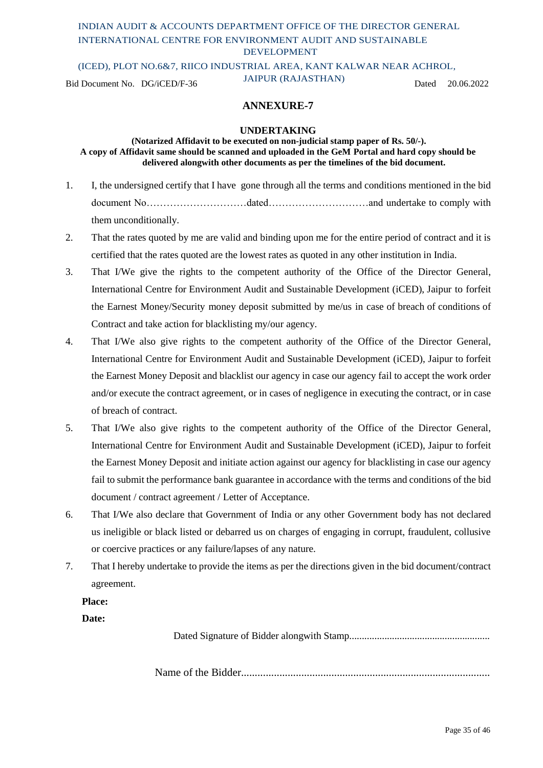(ICED), PLOT NO.6&7, RIICO INDUSTRIAL AREA, KANT KALWAR NEAR ACHROL,

Bid Document No. DG/iCED/F-36 JAIPUR (RAJASTHAN) Dated 20.06.2022

### **ANNEXURE-7**

#### **UNDERTAKING**

#### **(Notarized Affidavit to be executed on non-judicial stamp paper of Rs. 50/-). A copy of Affidavit same should be scanned and uploaded in the GeM Portal and hard copy should be delivered alongwith other documents as per the timelines of the bid document.**

- 1. I, the undersigned certify that I have gone through all the terms and conditions mentioned in the bid document No…………………………dated…………………………and undertake to comply with them unconditionally.
- 2. That the rates quoted by me are valid and binding upon me for the entire period of contract and it is certified that the rates quoted are the lowest rates as quoted in any other institution in India.
- 3. That I/We give the rights to the competent authority of the Office of the Director General, International Centre for Environment Audit and Sustainable Development (iCED), Jaipur to forfeit the Earnest Money/Security money deposit submitted by me/us in case of breach of conditions of Contract and take action for blacklisting my/our agency.
- 4. That I/We also give rights to the competent authority of the Office of the Director General, International Centre for Environment Audit and Sustainable Development (iCED), Jaipur to forfeit the Earnest Money Deposit and blacklist our agency in case our agency fail to accept the work order and/or execute the contract agreement, or in cases of negligence in executing the contract, or in case of breach of contract.
- 5. That I/We also give rights to the competent authority of the Office of the Director General, International Centre for Environment Audit and Sustainable Development (iCED), Jaipur to forfeit the Earnest Money Deposit and initiate action against our agency for blacklisting in case our agency fail to submit the performance bank guarantee in accordance with the terms and conditions of the bid document / contract agreement / Letter of Acceptance.
- 6. That I/We also declare that Government of India or any other Government body has not declared us ineligible or black listed or debarred us on charges of engaging in corrupt, fraudulent, collusive or coercive practices or any failure/lapses of any nature.
- 7. That I hereby undertake to provide the items as per the directions given in the bid document/contract agreement.

#### **Place:**

#### **Date:**

Dated Signature of Bidder alongwith Stamp........................................................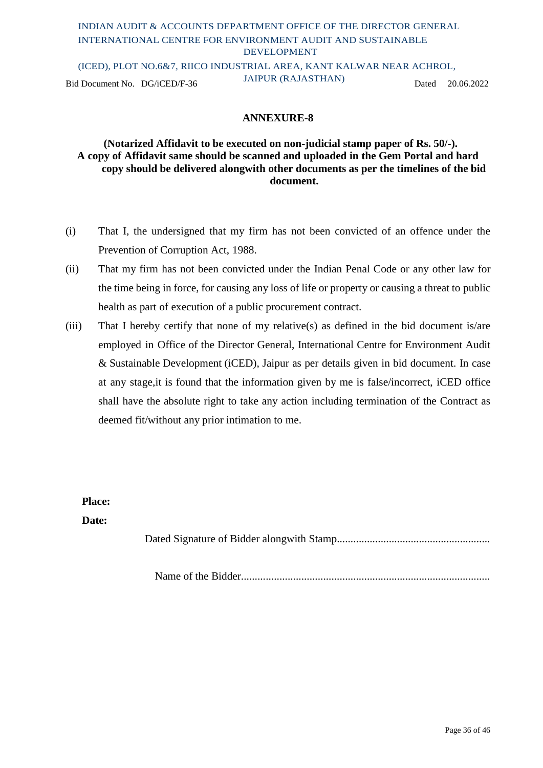### INDIAN AUDIT & ACCOUNTS DEPARTMENT OFFICE OF THE DIRECTOR GENERAL INTERNATIONAL CENTRE FOR ENVIRONMENT AUDIT AND SUSTAINABLE DEVELOPMENT (ICED), PLOT NO.6&7, RIICO INDUSTRIAL AREA, KANT KALWAR NEAR ACHROL, Bid Document No. DG/iCED/F-36 JAIPUR (RAJASTHAN) Dated 20.06.2022

**ANNEXURE-8**

### **(Notarized Affidavit to be executed on non-judicial stamp paper of Rs. 50/-). A copy of Affidavit same should be scanned and uploaded in the Gem Portal and hard copy should be delivered alongwith other documents as per the timelines of the bid document.**

- (i) That I, the undersigned that my firm has not been convicted of an offence under the Prevention of Corruption Act, 1988.
- (ii) That my firm has not been convicted under the Indian Penal Code or any other law for the time being in force, for causing any loss of life or property or causing a threat to public health as part of execution of a public procurement contract.
- (iii) That I hereby certify that none of my relative(s) as defined in the bid document is/are employed in Office of the Director General, International Centre for Environment Audit & Sustainable Development (iCED), Jaipur as per details given in bid document. In case at any stage,it is found that the information given by me is false/incorrect, iCED office shall have the absolute right to take any action including termination of the Contract as deemed fit/without any prior intimation to me.

**Place:**

**Date:**

Dated Signature of Bidder alongwith Stamp........................................................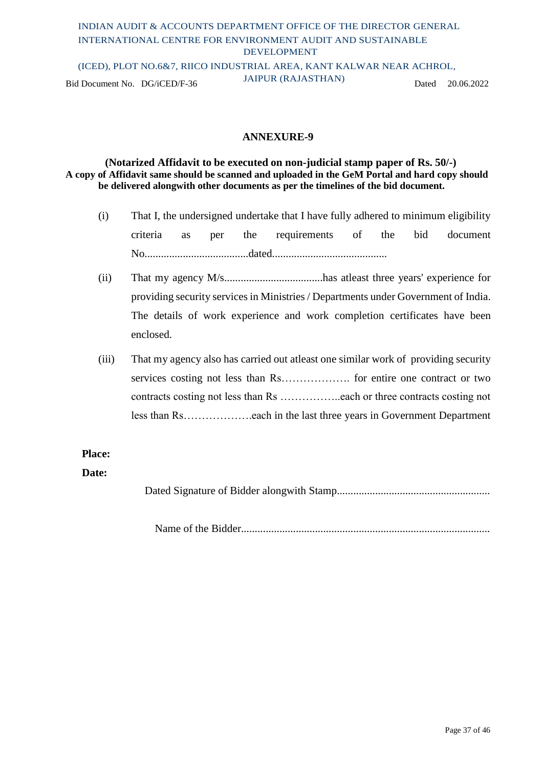### INDIAN AUDIT & ACCOUNTS DEPARTMENT OFFICE OF THE DIRECTOR GENERAL INTERNATIONAL CENTRE FOR ENVIRONMENT AUDIT AND SUSTAINABLE DEVELOPMENT (ICED), PLOT NO.6&7, RIICO INDUSTRIAL AREA, KANT KALWAR NEAR ACHROL,

Bid Document No. DG/iCED/F-36 JAIPUR (RAJASTHAN) Dated 20.06.2022

### **ANNEXURE-9**

**(Notarized Affidavit to be executed on non-judicial stamp paper of Rs. 50/-) A copy of Affidavit same should be scanned and uploaded in the GeM Portal and hard copy should be delivered alongwith other documents as per the timelines of the bid document.**

- (i) That I, the undersigned undertake that I have fully adhered to minimum eligibility criteria as per the requirements of the bid document No......................................dated..........................................
- (ii) That my agency M/s....................................has atleast three years' experience for providing security services in Ministries / Departments under Government of India. The details of work experience and work completion certificates have been enclosed.
- (iii) That my agency also has carried out atleast one similar work of providing security services costing not less than Rs………………. for entire one contract or two contracts costing not less than Rs ……………..each or three contracts costing not less than Rs……………….each in the last three years in Government Department

### **Place:**

#### **Date:**

Dated Signature of Bidder alongwith Stamp........................................................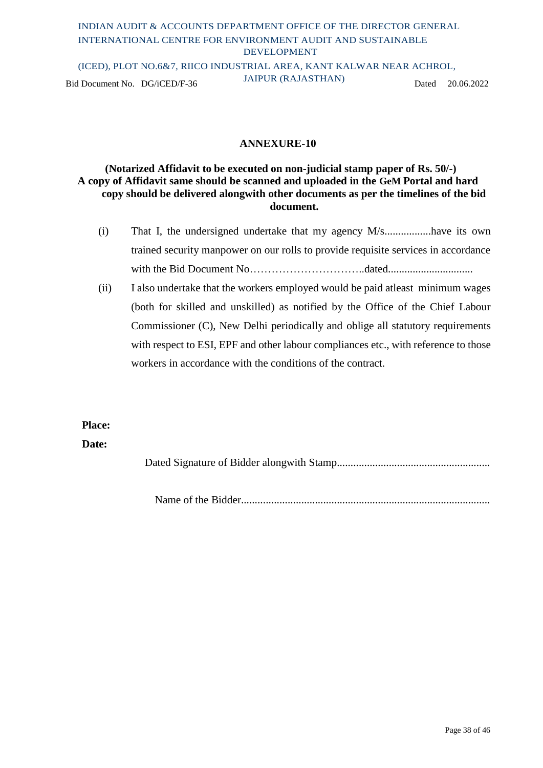### INDIAN AUDIT & ACCOUNTS DEPARTMENT OFFICE OF THE DIRECTOR GENERAL INTERNATIONAL CENTRE FOR ENVIRONMENT AUDIT AND SUSTAINABLE DEVELOPMENT (ICED), PLOT NO.6&7, RIICO INDUSTRIAL AREA, KANT KALWAR NEAR ACHROL, Bid Document No. DG/iCED/F-36 JAIPUR (RAJASTHAN) Dated 20.06.2022

### **ANNEXURE-10**

### **(Notarized Affidavit to be executed on non-judicial stamp paper of Rs. 50/-) A copy of Affidavit same should be scanned and uploaded in the GeM Portal and hard copy should be delivered alongwith other documents as per the timelines of the bid document.**

- (i) That I, the undersigned undertake that my agency M/s.................have its own trained security manpower on our rolls to provide requisite services in accordance with the Bid Document No…………………………..dated...............................
- (ii) I also undertake that the workers employed would be paid atleast minimum wages (both for skilled and unskilled) as notified by the Office of the Chief Labour Commissioner (C), New Delhi periodically and oblige all statutory requirements with respect to ESI, EPF and other labour compliances etc., with reference to those workers in accordance with the conditions of the contract.

### **Place:**

#### **Date:**

Dated Signature of Bidder alongwith Stamp........................................................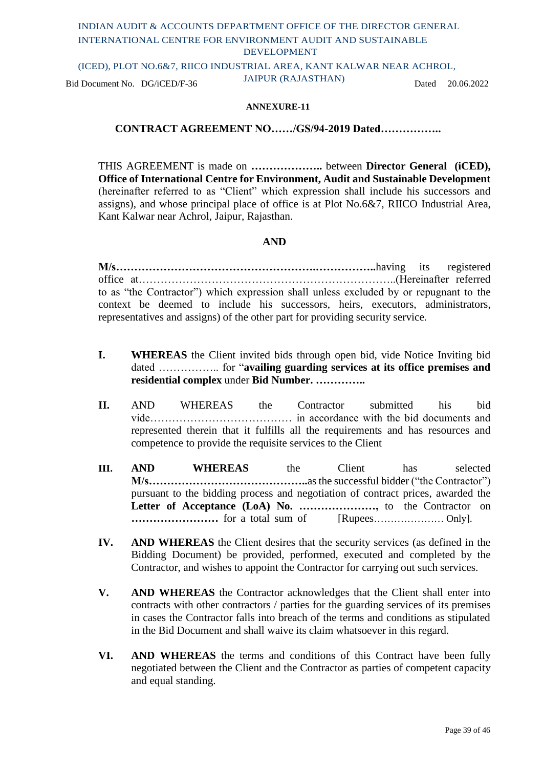(ICED), PLOT NO.6&7, RIICO INDUSTRIAL AREA, KANT KALWAR NEAR ACHROL,

Bid Document No. DG/iCED/F-36 JAIPUR (RAJASTHAN) Dated 20.06.2022

#### **ANNEXURE-11**

#### **CONTRACT AGREEMENT NO……/GS/94-2019 Dated……………..**

THIS AGREEMENT is made on **………………..** between **Director General (iCED), Office of International Centre for Environment, Audit and Sustainable Development**  (hereinafter referred to as "Client" which expression shall include his successors and assigns), and whose principal place of office is at Plot No.6&7, RIICO Industrial Area, Kant Kalwar near Achrol, Jaipur, Rajasthan.

#### **AND**

**M/s……………………………………………….……………..**having its registered office at……………………………………………………………..(Hereinafter referred to as "the Contractor") which expression shall unless excluded by or repugnant to the context be deemed to include his successors, heirs, executors, administrators, representatives and assigns) of the other part for providing security service.

- **I. WHEREAS** the Client invited bids through open bid, vide Notice Inviting bid dated …………….. for "**availing guarding services at its office premises and residential complex** under **Bid Number. …………..**
- **II.** AND WHEREAS the Contractor submitted his bid vide………………………………… in accordance with the bid documents and represented therein that it fulfills all the requirements and has resources and competence to provide the requisite services to the Client
- **III. AND WHEREAS** the Client has selected **M/s……………………………………..**asthe successful bidder ("the Contractor") pursuant to the bidding process and negotiation of contract prices, awarded the **Letter of Acceptance (LoA) No. …………………,** to the Contractor on **……………………** for a total sum of [Rupees………………… Only].
- **IV. AND WHEREAS** the Client desires that the security services (as defined in the Bidding Document) be provided, performed, executed and completed by the Contractor, and wishes to appoint the Contractor for carrying out such services.
- **V. AND WHEREAS** the Contractor acknowledges that the Client shall enter into contracts with other contractors / parties for the guarding services of its premises in cases the Contractor falls into breach of the terms and conditions as stipulated in the Bid Document and shall waive its claim whatsoever in this regard.
- **VI. AND WHEREAS** the terms and conditions of this Contract have been fully negotiated between the Client and the Contractor as parties of competent capacity and equal standing.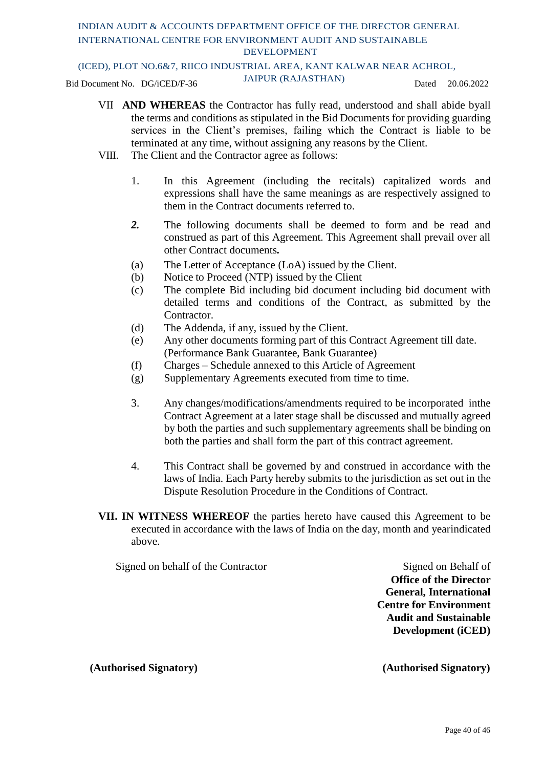#### (ICED), PLOT NO.6&7, RIICO INDUSTRIAL AREA, KANT KALWAR NEAR ACHROL,

Bid Document No. DG/iCED/F-36 JAIPUR (RAJASTHAN) Dated 20.06.2022

- VII **AND WHEREAS** the Contractor has fully read, understood and shall abide byall the terms and conditions as stipulated in the Bid Documents for providing guarding services in the Client's premises, failing which the Contract is liable to be terminated at any time, without assigning any reasons by the Client.
- VIII. The Client and the Contractor agree as follows:
	- 1. In this Agreement (including the recitals) capitalized words and expressions shall have the same meanings as are respectively assigned to them in the Contract documents referred to.
	- *2.* The following documents shall be deemed to form and be read and construed as part of this Agreement. This Agreement shall prevail over all other Contract documents*.*
	- (a) The Letter of Acceptance (LoA) issued by the Client.
	- (b) Notice to Proceed (NTP) issued by the Client
	- (c) The complete Bid including bid document including bid document with detailed terms and conditions of the Contract, as submitted by the Contractor.
	- (d) The Addenda, if any, issued by the Client.
	- (e) Any other documents forming part of this Contract Agreement till date. (Performance Bank Guarantee, Bank Guarantee)
	- (f) Charges Schedule annexed to this Article of Agreement
	- (g) Supplementary Agreements executed from time to time.
	- 3. Any changes/modifications/amendments required to be incorporated inthe Contract Agreement at a later stage shall be discussed and mutually agreed by both the parties and such supplementary agreements shall be binding on both the parties and shall form the part of this contract agreement.
	- 4. This Contract shall be governed by and construed in accordance with the laws of India. Each Party hereby submits to the jurisdiction as set out in the Dispute Resolution Procedure in the Conditions of Contract.
- **VII. IN WITNESS WHEREOF** the parties hereto have caused this Agreement to be executed in accordance with the laws of India on the day, month and yearindicated above.

Signed on behalf of the Contractor Signed on Behalf of

**Office of the Director General, International Centre for Environment Audit and Sustainable Development (iCED)**

**(Authorised Signatory) (Authorised Signatory)**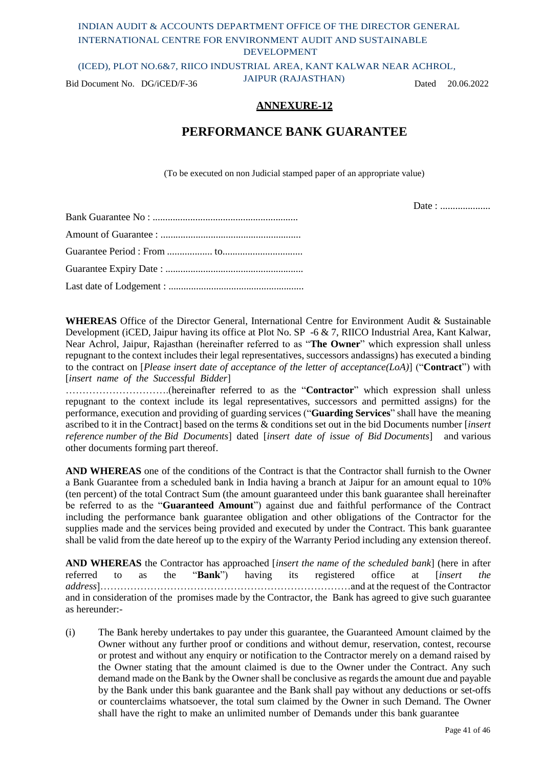(ICED), PLOT NO.6&7, RIICO INDUSTRIAL AREA, KANT KALWAR NEAR ACHROL,

Bid Document No. DG/iCED/F-36 JAIPUR (RAJASTHAN) Dated 20.06.2022

### **ANNEXURE-12**

### **PERFORMANCE BANK GUARANTEE**

(To be executed on non Judicial stamped paper of an appropriate value)

Date : ......................

**WHEREAS** Office of the Director General, International Centre for Environment Audit & Sustainable Development (iCED, Jaipur having its office at Plot No. SP -6 & 7, RIICO Industrial Area, Kant Kalwar, Near Achrol, Jaipur, Rajasthan (hereinafter referred to as "**The Owner**" which expression shall unless repugnant to the context includes their legal representatives, successors andassigns) has executed a binding to the contract on [*Please insert date of acceptance of the letter of acceptance(LoA)*] ("**Contract**") with [*insert name of the Successful Bidder*]

………………………….(hereinafter referred to as the "**Contractor**" which expression shall unless repugnant to the context include its legal representatives, successors and permitted assigns) for the performance, execution and providing of guarding services ("**Guarding Services**" shall have the meaning ascribed to it in the Contract] based on the terms & conditions set out in the bid Documents number [*insert reference number of the Bid Documents*] dated [*insert date of issue of Bid Documents*] and various other documents forming part thereof.

**AND WHEREAS** one of the conditions of the Contract is that the Contractor shall furnish to the Owner a Bank Guarantee from a scheduled bank in India having a branch at Jaipur for an amount equal to 10% (ten percent) of the total Contract Sum (the amount guaranteed under this bank guarantee shall hereinafter be referred to as the "**Guaranteed Amount**") against due and faithful performance of the Contract including the performance bank guarantee obligation and other obligations of the Contractor for the supplies made and the services being provided and executed by under the Contract. This bank guarantee shall be valid from the date hereof up to the expiry of the Warranty Period including any extension thereof.

**AND WHEREAS** the Contractor has approached [*insert the name of the scheduled bank*] (here in after referred to as the "**Bank**") having its registered office at [*insert the address*]…………………………………………………………………and at the request of the Contractor and in consideration of the promises made by the Contractor, the Bank has agreed to give such guarantee as hereunder:-

(i) The Bank hereby undertakes to pay under this guarantee, the Guaranteed Amount claimed by the Owner without any further proof or conditions and without demur, reservation, contest, recourse or protest and without any enquiry or notification to the Contractor merely on a demand raised by the Owner stating that the amount claimed is due to the Owner under the Contract. Any such demand made on the Bank by the Owner shall be conclusive as regards the amount due and payable by the Bank under this bank guarantee and the Bank shall pay without any deductions or set-offs or counterclaims whatsoever, the total sum claimed by the Owner in such Demand. The Owner shall have the right to make an unlimited number of Demands under this bank guarantee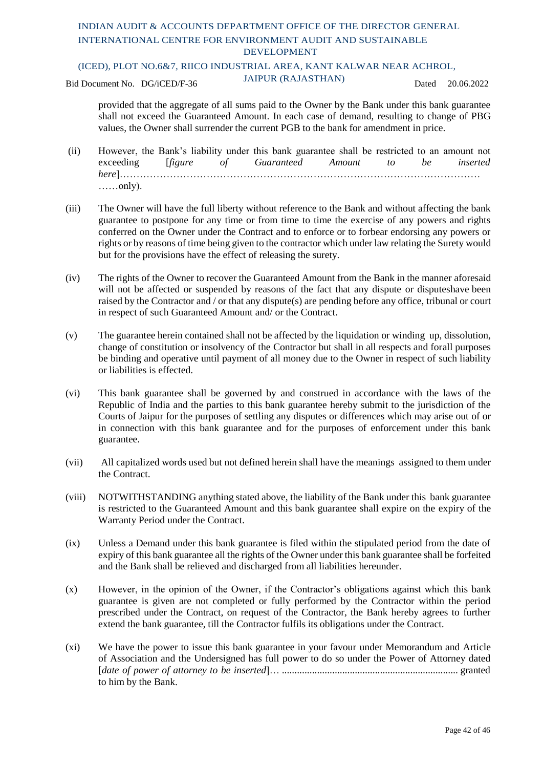#### (ICED), PLOT NO.6&7, RIICO INDUSTRIAL AREA, KANT KALWAR NEAR ACHROL,

Bid Document No. DG/iCED/F-36 JAIPUR (RAJASTHAN) Dated 20.06.2022

provided that the aggregate of all sums paid to the Owner by the Bank under this bank guarantee shall not exceed the Guaranteed Amount. In each case of demand, resulting to change of PBG values, the Owner shall surrender the current PGB to the bank for amendment in price.

- (ii) However, the Bank's liability under this bank guarantee shall be restricted to an amount not exceeding [*figure of Guaranteed Amount to be inserted here*]……………………………………………………………………………………………… ……only).
- (iii) The Owner will have the full liberty without reference to the Bank and without affecting the bank guarantee to postpone for any time or from time to time the exercise of any powers and rights conferred on the Owner under the Contract and to enforce or to forbear endorsing any powers or rights or by reasons of time being given to the contractor which under law relating the Surety would but for the provisions have the effect of releasing the surety.
- (iv) The rights of the Owner to recover the Guaranteed Amount from the Bank in the manner aforesaid will not be affected or suspended by reasons of the fact that any dispute or disputeshave been raised by the Contractor and / or that any dispute(s) are pending before any office, tribunal or court in respect of such Guaranteed Amount and/ or the Contract.
- (v) The guarantee herein contained shall not be affected by the liquidation or winding up, dissolution, change of constitution or insolvency of the Contractor but shall in all respects and forall purposes be binding and operative until payment of all money due to the Owner in respect of such liability or liabilities is effected.
- (vi) This bank guarantee shall be governed by and construed in accordance with the laws of the Republic of India and the parties to this bank guarantee hereby submit to the jurisdiction of the Courts of Jaipur for the purposes of settling any disputes or differences which may arise out of or in connection with this bank guarantee and for the purposes of enforcement under this bank guarantee.
- (vii) All capitalized words used but not defined herein shall have the meanings assigned to them under the Contract.
- (viii) NOTWITHSTANDING anything stated above, the liability of the Bank under this bank guarantee is restricted to the Guaranteed Amount and this bank guarantee shall expire on the expiry of the Warranty Period under the Contract.
- (ix) Unless a Demand under this bank guarantee is filed within the stipulated period from the date of expiry of this bank guarantee all the rights of the Owner under this bank guarantee shall be forfeited and the Bank shall be relieved and discharged from all liabilities hereunder.
- (x) However, in the opinion of the Owner, if the Contractor's obligations against which this bank guarantee is given are not completed or fully performed by the Contractor within the period prescribed under the Contract, on request of the Contractor, the Bank hereby agrees to further extend the bank guarantee, till the Contractor fulfils its obligations under the Contract.
- (xi) We have the power to issue this bank guarantee in your favour under Memorandum and Article of Association and the Undersigned has full power to do so under the Power of Attorney dated [*date of power of attorney to be inserted*]… ...................................................................... granted to him by the Bank.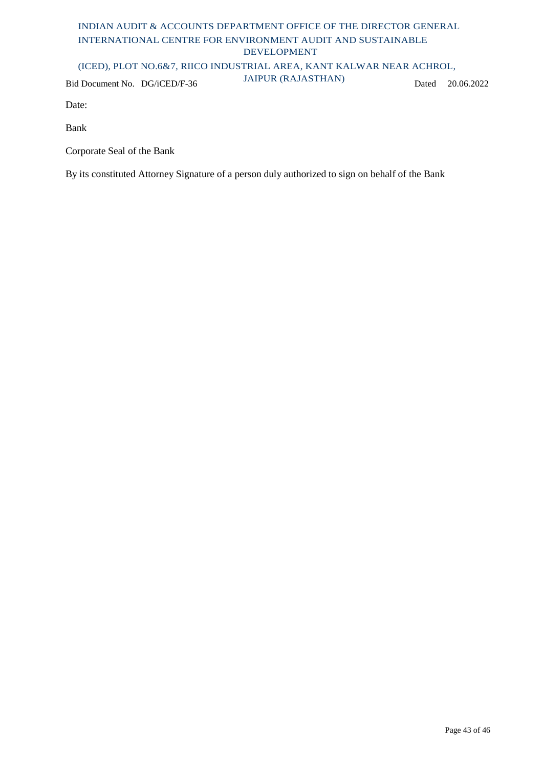### (ICED), PLOT NO.6&7, RIICO INDUSTRIAL AREA, KANT KALWAR NEAR ACHROL,

Bid Document No. DG/iCED/F-36 JAIPUR (RAJASTHAN) Dated 20.06.2022

Date:

Bank

Corporate Seal of the Bank

By its constituted Attorney Signature of a person duly authorized to sign on behalf of the Bank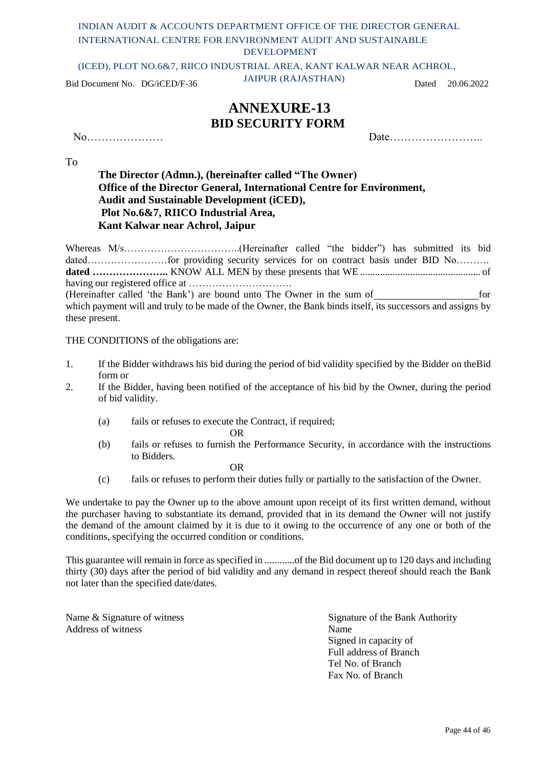DEVELOPMENT

(ICED), PLOT NO.6&7, RIICO INDUSTRIAL AREA, KANT KALWAR NEAR ACHROL,

Bid Document No. DG/iCED/F-36 JAIPUR (RAJASTHAN) Dated 20.06.2022

### **ANNEXURE-13 BID SECURITY FORM**

No………………… Date……………………..

To

**The Director (Admn.), (hereinafter called "The Owner) Office of the Director General, International Centre for Environment, Audit and Sustainable Development (iCED), Plot No.6&7, RIICO Industrial Area, Kant Kalwar near Achrol, Jaipur**

Whereas M/s……………………………..(Hereinafter called "the bidder") has submitted its bid dated…………………for providing security services for on contract basis under BID No………. **dated …………………..** KNOW ALL MEN by these presents that WE ................................................ of having our registered office at ………………………….

(Hereinafter called 'the Bank') are bound unto The Owner in the sum of for which payment will and truly to be made of the Owner, the Bank binds itself, its successors and assigns by these present.

THE CONDITIONS of the obligations are:

- 1. If the Bidder withdraws his bid during the period of bid validity specified by the Bidder on theBid form or
- 2. If the Bidder, having been notified of the acceptance of his bid by the Owner, during the period of bid validity.
	- (a) fails or refuses to execute the Contract, if required;

OR

(b) fails or refuses to furnish the Performance Security, in accordance with the instructions to Bidders.

OR

(c) fails or refuses to perform their duties fully or partially to the satisfaction of the Owner.

We undertake to pay the Owner up to the above amount upon receipt of its first written demand, without the purchaser having to substantiate its demand, provided that in its demand the Owner will not justify the demand of the amount claimed by it is due to it owing to the occurrence of any one or both of the conditions, specifying the occurred condition or conditions.

This guarantee will remain in force as specified in ..............of the Bid document up to 120 days and including thirty (30) days after the period of bid validity and any demand in respect thereof should reach the Bank not later than the specified date/dates.

Address of witness Name

Name & Signature of witness Signature of the Bank Authority Signed in capacity of Full address of Branch Tel No. of Branch Fax No. of Branch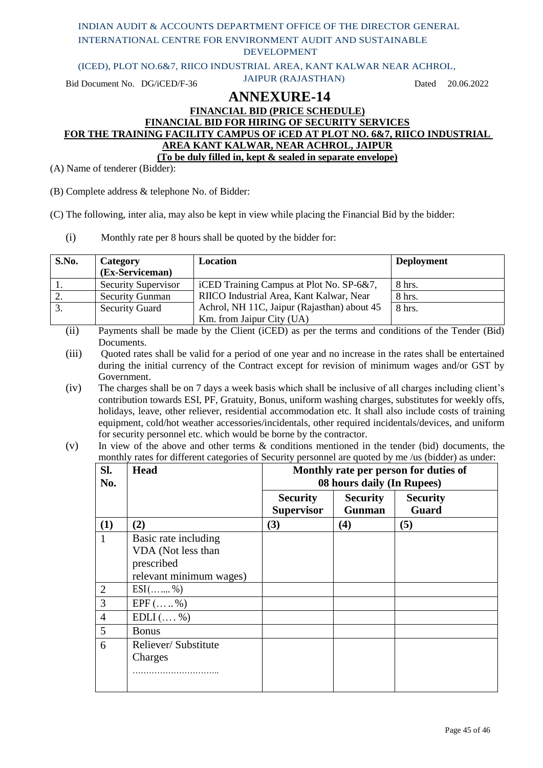| INDIAN AUDIT & ACCOUNTS DEPARTMENT OFFICE OF THE DIRECTOR GENERAL          |                                                            |       |            |
|----------------------------------------------------------------------------|------------------------------------------------------------|-------|------------|
| INTERNATIONAL CENTRE FOR ENVIRONMENT AUDIT AND SUSTAINABLE                 |                                                            |       |            |
|                                                                            | <b>DEVELOPMENT</b>                                         |       |            |
| (ICED), PLOT NO.6&7, RIICO INDUSTRIAL AREA, KANT KALWAR NEAR ACHROL,       |                                                            |       |            |
| Bid Document No. DG/iCED/F-36                                              | <b>JAIPUR (RAJASTHAN)</b>                                  | Dated | 20.06.2022 |
|                                                                            | <b>ANNEXURE-14</b>                                         |       |            |
|                                                                            | <b>FINANCIAL BID (PRICE SCHEDULE)</b>                      |       |            |
|                                                                            | <b>FINANCIAL BID FOR HIRING OF SECURITY SERVICES</b>       |       |            |
| FOR THE TRAINING FACILITY CAMPUS OF iCED AT PLOT NO. 6&7, RIICO INDUSTRIAL |                                                            |       |            |
|                                                                            | AREA KANT KALWAR, NEAR ACHROL, JAIPUR                      |       |            |
|                                                                            | (To be duly filled in, kept & sealed in separate envelope) |       |            |
| Name of tenderer (Bidder):                                                 |                                                            |       |            |

(B) Complete address & telephone No. of Bidder:

 $(A)$ 

(C) The following, inter alia, may also be kept in view while placing the Financial Bid by the bidder:

(i) Monthly rate per 8 hours shall be quoted by the bidder for:

| S.No.     | Category<br>(Ex-Serviceman) | Location                                    | <b>Deployment</b> |
|-----------|-----------------------------|---------------------------------------------|-------------------|
|           | <b>Security Supervisor</b>  | iCED Training Campus at Plot No. SP-6&7,    | 8 hrs.            |
| <u>L.</u> | <b>Security Gunman</b>      | RIICO Industrial Area, Kant Kalwar, Near    | 8 hrs.            |
| 3.        | <b>Security Guard</b>       | Achrol, NH 11C, Jaipur (Rajasthan) about 45 | $8$ hrs.          |
|           |                             | Km. from Jaipur City (UA)                   |                   |

- (ii) Payments shall be made by the Client (iCED) as per the terms and conditions of the Tender (Bid) Documents.
- (iii) Quoted rates shall be valid for a period of one year and no increase in the rates shall be entertained during the initial currency of the Contract except for revision of minimum wages and/or GST by Government.
- (iv) The charges shall be on 7 days a week basis which shall be inclusive of all charges including client's contribution towards ESI, PF, Gratuity, Bonus, uniform washing charges, substitutes for weekly offs, holidays, leave, other reliever, residential accommodation etc. It shall also include costs of training equipment, cold/hot weather accessories/incidentals, other required incidentals/devices, and uniform for security personnel etc. which would be borne by the contractor.

### (v) In view of the above and other terms & conditions mentioned in the tender (bid) documents, the monthly rates for different categories of Security personnel are quoted by me /us (bidder) as under:

| Sl.<br>No.     | <b>Head</b>                                              |                                      | 08 hours daily (In Rupees)       | Monthly rate per person for duties of |
|----------------|----------------------------------------------------------|--------------------------------------|----------------------------------|---------------------------------------|
|                |                                                          | <b>Security</b><br><b>Supervisor</b> | <b>Security</b><br><b>Gunman</b> | <b>Security</b><br>Guard              |
| (1)            | (2)                                                      | (3)                                  | (4)                              | (5)                                   |
|                | Basic rate including<br>VDA (Not less than<br>prescribed |                                      |                                  |                                       |
|                | relevant minimum wages)                                  |                                      |                                  |                                       |
| $\overline{2}$ | $ESI$ ( %)                                               |                                      |                                  |                                       |
| 3              | $EPF$ (  %)                                              |                                      |                                  |                                       |
| $\overline{4}$ | $EDLI$ (, %)                                             |                                      |                                  |                                       |
| 5              | <b>Bonus</b>                                             |                                      |                                  |                                       |
| 6              | Reliever/Substitute                                      |                                      |                                  |                                       |
|                | Charges                                                  |                                      |                                  |                                       |
|                |                                                          |                                      |                                  |                                       |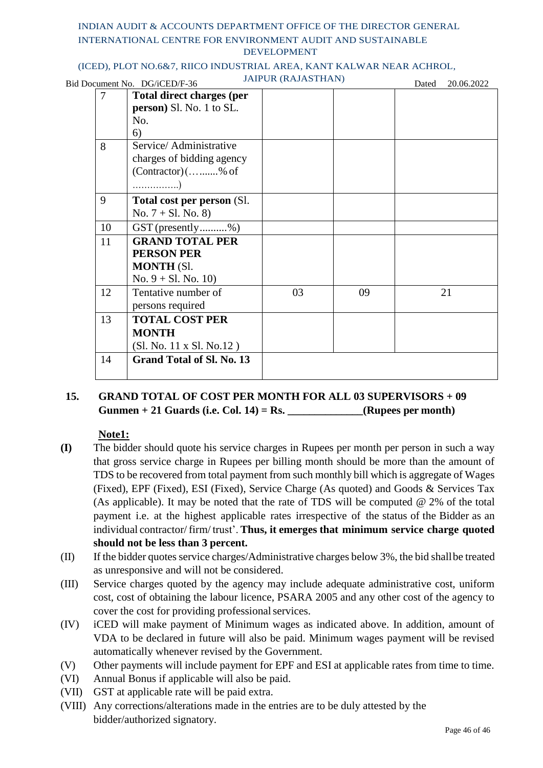### (ICED), PLOT NO.6&7, RIICO INDUSTRIAL AREA, KANT KALWAR NEAR ACHROL,

| $\sim$ | $\sim$ $\sim$ | $\frac{1}{2}$ |  |
|--------|---------------|---------------|--|
|        |               |               |  |
|        |               |               |  |
|        |               |               |  |
|        |               |               |  |
|        |               |               |  |
|        |               |               |  |

|                | Bid Document No. DG/iCED/F-36          | <b>JAIPUR (RAJASTHAN)</b> |    | Dated | 20.06.2022 |
|----------------|----------------------------------------|---------------------------|----|-------|------------|
| $\overline{7}$ | <b>Total direct charges (per</b>       |                           |    |       |            |
|                | person) Sl. No. 1 to SL.               |                           |    |       |            |
|                | No.                                    |                           |    |       |            |
|                | 6)                                     |                           |    |       |            |
| 8              | Service/Administrative                 |                           |    |       |            |
|                | charges of bidding agency              |                           |    |       |            |
|                | $(Contractor)$ (% of                   |                           |    |       |            |
|                | . )                                    |                           |    |       |            |
| 9              | Total cost per person (Sl.             |                           |    |       |            |
|                | No. $7 + S1$ . No. 8)                  |                           |    |       |            |
|                | 10<br>$GST$ (presently%)               |                           |    |       |            |
|                | <b>GRAND TOTAL PER</b><br>11           |                           |    |       |            |
|                | <b>PERSON PER</b>                      |                           |    |       |            |
|                | <b>MONTH (Sl.</b>                      |                           |    |       |            |
|                | No. $9 + S1$ . No. 10)                 |                           |    |       |            |
|                | 12<br>Tentative number of              | 03                        | 09 |       | 21         |
|                | persons required                       |                           |    |       |            |
|                | 13<br><b>TOTAL COST PER</b>            |                           |    |       |            |
|                | <b>MONTH</b>                           |                           |    |       |            |
|                | (Sl. No. 11 x Sl. No.12)               |                           |    |       |            |
|                | 14<br><b>Grand Total of Sl. No. 13</b> |                           |    |       |            |
|                |                                        |                           |    |       |            |

### **15. GRAND TOTAL OF COST PER MONTH FOR ALL 03 SUPERVISORS + 09 Gunmen + 21 Guards (i.e. Col. 14) = Rs. \_\_\_\_\_\_\_\_\_\_\_\_\_\_(Rupees per month)**

### **Note1:**

- **(I)** The bidder should quote his service charges in Rupees per month per person in such a way that gross service charge in Rupees per billing month should be more than the amount of TDS to be recovered from total payment from such monthly bill which is aggregate of Wages (Fixed), EPF (Fixed), ESI (Fixed), Service Charge (As quoted) and Goods & Services Tax (As applicable). It may be noted that the rate of TDS will be computed @ 2% of the total payment i.e. at the highest applicable rates irrespective of the status of the Bidder as an individual contractor/ firm/ trust'. **Thus, it emerges that minimum service charge quoted should not be less than 3 percent.**
- (II) If the bidder quotes service charges/Administrative charges below 3%, the bid shallbe treated as unresponsive and will not be considered.
- (III) Service charges quoted by the agency may include adequate administrative cost, uniform cost, cost of obtaining the labour licence, PSARA 2005 and any other cost of the agency to cover the cost for providing professional services.
- (IV) iCED will make payment of Minimum wages as indicated above. In addition, amount of VDA to be declared in future will also be paid. Minimum wages payment will be revised automatically whenever revised by the Government.
- (V) Other payments will include payment for EPF and ESI at applicable rates from time to time.
- (VI) Annual Bonus if applicable will also be paid.
- (VII) GST at applicable rate will be paid extra.
- (VIII) Any corrections/alterations made in the entries are to be duly attested by the bidder/authorized signatory.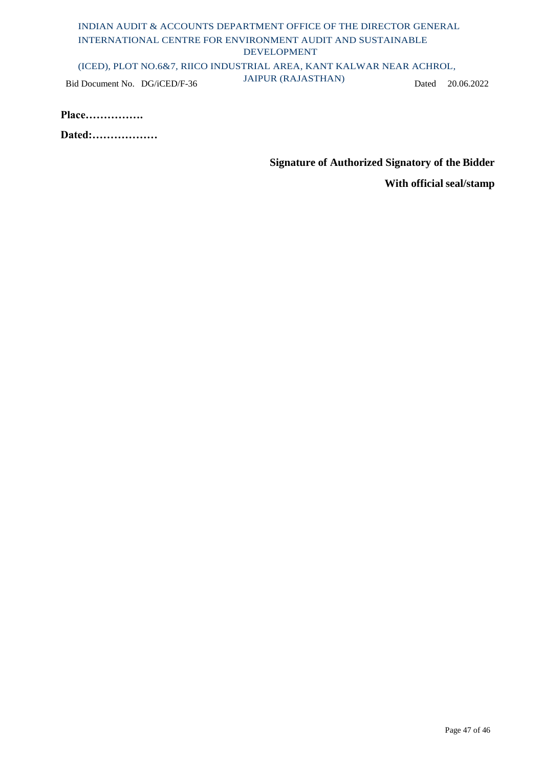### INDIAN AUDIT & ACCOUNTS DEPARTMENT OFFICE OF THE DIRECTOR GENERAL INTERNATIONAL CENTRE FOR ENVIRONMENT AUDIT AND SUSTAINABLE DEVELOPMENT (ICED), PLOT NO.6&7, RIICO INDUSTRIAL AREA, KANT KALWAR NEAR ACHROL, Bid Document No. DG/iCED/F-36 JAIPUR (RAJASTHAN) Dated 20.06.2022

| <b>Place</b> |
|--------------|
|              |

**Dated:………………**

**Signature of Authorized Signatory of the Bidder**

**With official seal/stamp**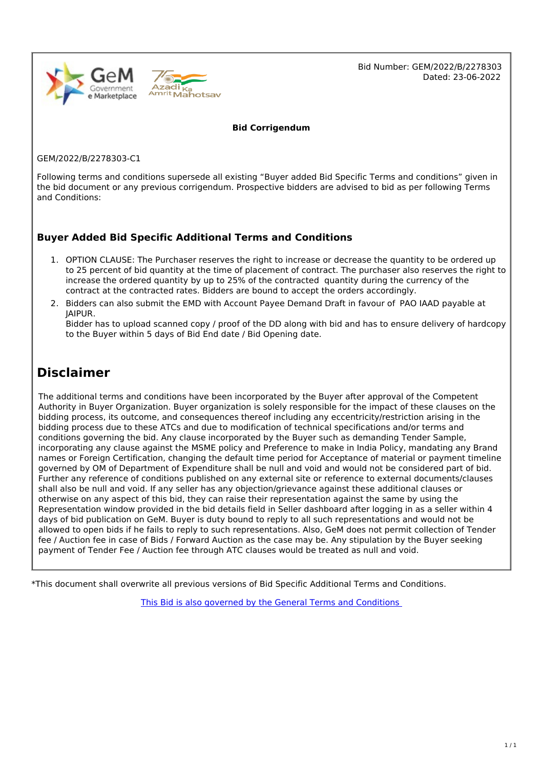

Bid Number: GEM/2022/B/2278303 Dated: 23-06-2022

**Bid Corrigendum**

GEM/2022/B/2278303-C1

Following terms and conditions supersede all existing "Buyer added Bid Specific Terms and conditions" given in the bid document or any previous corrigendum. Prospective bidders are advised to bid as per following Terms and Conditions:

### **Buyer Added Bid Specific Additional Terms and Conditions**

- 1. OPTION CLAUSE: The Purchaser reserves the right to increase or decrease the quantity to be ordered up to 25 percent of bid quantity at the time of placement of contract. The purchaser also reserves the right to increase the ordered quantity by up to 25% of the contracted quantity during the currency of the contract at the contracted rates. Bidders are bound to accept the orders accordingly.
- 2. Bidders can also submit the EMD with Account Payee Demand Draft in favour of PAO IAAD payable at JAIPUR.

Bidder has to upload scanned copy / proof of the DD along with bid and has to ensure delivery of hardcopy to the Buyer within 5 days of Bid End date / Bid Opening date.

### **Disclaimer**

The additional terms and conditions have been incorporated by the Buyer after approval of the Competent Authority in Buyer Organization. Buyer organization is solely responsible for the impact of these clauses on the bidding process, its outcome, and consequences thereof including any eccentricity/restriction arising in the bidding process due to these ATCs and due to modification of technical specifications and/or terms and conditions governing the bid. Any clause incorporated by the Buyer such as demanding Tender Sample, incorporating any clause against the MSME policy and Preference to make in India Policy, mandating any Brand names or Foreign Certification, changing the default time period for Acceptance of material or payment timeline governed by OM of Department of Expenditure shall be null and void and would not be considered part of bid. Further any reference of conditions published on any external site or reference to external documents/clauses shall also be null and void. If any seller has any objection/grievance against these additional clauses or otherwise on any aspect of this bid, they can raise their representation against the same by using the Representation window provided in the bid details field in Seller dashboard after logging in as a seller within 4 days of bid publication on GeM. Buyer is duty bound to reply to all such representations and would not be allowed to open bids if he fails to reply to such representations. Also, GeM does not permit collection of Tender fee / Auction fee in case of Bids / Forward Auction as the case may be. Any stipulation by the Buyer seeking payment of Tender Fee / Auction fee through ATC clauses would be treated as null and void.

\*This document shall overwrite all previous versions of Bid Specific Additional Terms and Conditions.

This Bid is also governed by the General Terms and [Conditions](https://admin.gem.gov.in/apis/v1/gtc/pdfByDate/?date=20220623)